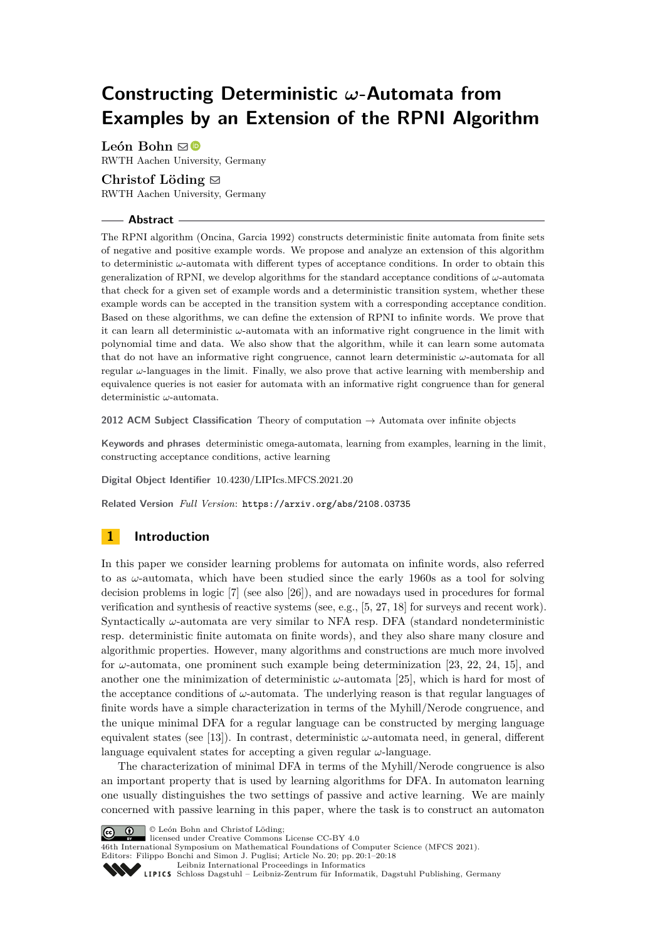# **Constructing Deterministic** *ω***-Automata from Examples by an Extension of the RPNI Algorithm**

León Bohn ⊠<sup>®</sup> RWTH Aachen University, Germany

## Christof Löding  $\boxdot$

RWTH Aachen University, Germany

## **Abstract**

The RPNI algorithm (Oncina, Garcia 1992) constructs deterministic finite automata from finite sets of negative and positive example words. We propose and analyze an extension of this algorithm to deterministic *ω*-automata with different types of acceptance conditions. In order to obtain this generalization of RPNI, we develop algorithms for the standard acceptance conditions of *ω*-automata that check for a given set of example words and a deterministic transition system, whether these example words can be accepted in the transition system with a corresponding acceptance condition. Based on these algorithms, we can define the extension of RPNI to infinite words. We prove that it can learn all deterministic *ω*-automata with an informative right congruence in the limit with polynomial time and data. We also show that the algorithm, while it can learn some automata that do not have an informative right congruence, cannot learn deterministic *ω*-automata for all regular *ω*-languages in the limit. Finally, we also prove that active learning with membership and equivalence queries is not easier for automata with an informative right congruence than for general deterministic *ω*-automata.

**2012 ACM Subject Classification** Theory of computation → Automata over infinite objects

**Keywords and phrases** deterministic omega-automata, learning from examples, learning in the limit, constructing acceptance conditions, active learning

**Digital Object Identifier** [10.4230/LIPIcs.MFCS.2021.20](https://doi.org/10.4230/LIPIcs.MFCS.2021.20)

**Related Version** *Full Version*: <https://arxiv.org/abs/2108.03735>

# **1 Introduction**

In this paper we consider learning problems for automata on infinite words, also referred to as *ω*-automata, which have been studied since the early 1960s as a tool for solving decision problems in logic [\[7\]](#page-16-0) (see also [\[26\]](#page-17-0)), and are nowadays used in procedures for formal verification and synthesis of reactive systems (see, e.g., [\[5,](#page-16-1) [27,](#page-17-1) [18\]](#page-16-2) for surveys and recent work). Syntactically *ω*-automata are very similar to NFA resp. DFA (standard nondeterministic resp. deterministic finite automata on finite words), and they also share many closure and algorithmic properties. However, many algorithms and constructions are much more involved for *ω*-automata, one prominent such example being determinization [\[23,](#page-17-2) [22,](#page-16-3) [24,](#page-17-3) [15\]](#page-16-4), and another one the minimization of deterministic  $\omega$ -automata [\[25\]](#page-17-4), which is hard for most of the acceptance conditions of *ω*-automata. The underlying reason is that regular languages of finite words have a simple characterization in terms of the Myhill/Nerode congruence, and the unique minimal DFA for a regular language can be constructed by merging language equivalent states (see [\[13\]](#page-16-5)). In contrast, deterministic *ω*-automata need, in general, different language equivalent states for accepting a given regular *ω*-language.

The characterization of minimal DFA in terms of the Myhill/Nerode congruence is also an important property that is used by learning algorithms for DFA. In automaton learning one usually distinguishes the two settings of passive and active learning. We are mainly concerned with passive learning in this paper, where the task is to construct an automaton



© León Bohn and Christof Löding;

licensed under Creative Commons License CC-BY 4.0

46th International Symposium on Mathematical Foundations of Computer Science (MFCS 2021).

Editors: Filippo Bonchi and Simon J. Puglisi; Article No. 20; pp. 20:1–20:18 [Leibniz International Proceedings in Informatics](https://www.dagstuhl.de/lipics/)

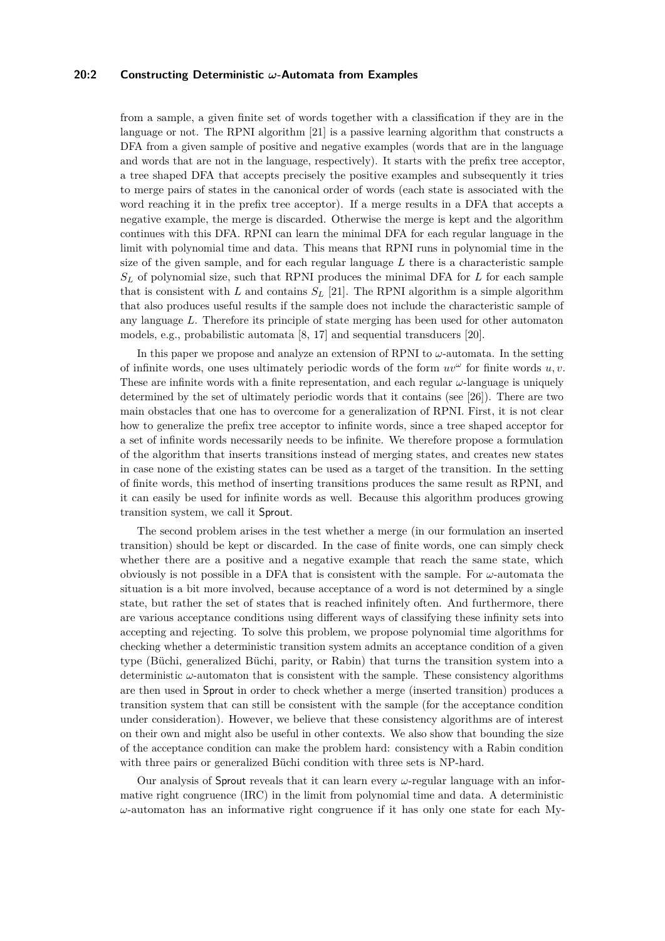## **20:2 Constructing Deterministic** *ω***-Automata from Examples**

from a sample, a given finite set of words together with a classification if they are in the language or not. The RPNI algorithm [\[21\]](#page-16-6) is a passive learning algorithm that constructs a DFA from a given sample of positive and negative examples (words that are in the language and words that are not in the language, respectively). It starts with the prefix tree acceptor, a tree shaped DFA that accepts precisely the positive examples and subsequently it tries to merge pairs of states in the canonical order of words (each state is associated with the word reaching it in the prefix tree acceptor). If a merge results in a DFA that accepts a negative example, the merge is discarded. Otherwise the merge is kept and the algorithm continues with this DFA. RPNI can learn the minimal DFA for each regular language in the limit with polynomial time and data. This means that RPNI runs in polynomial time in the size of the given sample, and for each regular language *L* there is a characteristic sample *S<sup>L</sup>* of polynomial size, such that RPNI produces the minimal DFA for *L* for each sample that is consistent with *L* and contains  $S_L$  [\[21\]](#page-16-6). The RPNI algorithm is a simple algorithm that also produces useful results if the sample does not include the characteristic sample of any language *L*. Therefore its principle of state merging has been used for other automaton models, e.g., probabilistic automata [\[8,](#page-16-7) [17\]](#page-16-8) and sequential transducers [\[20\]](#page-16-9).

In this paper we propose and analyze an extension of RPNI to *ω*-automata. In the setting of infinite words, one uses ultimately periodic words of the form  $uv^{\omega}$  for finite words  $u, v$ . These are infinite words with a finite representation, and each regular *ω*-language is uniquely determined by the set of ultimately periodic words that it contains (see [\[26\]](#page-17-0)). There are two main obstacles that one has to overcome for a generalization of RPNI. First, it is not clear how to generalize the prefix tree acceptor to infinite words, since a tree shaped acceptor for a set of infinite words necessarily needs to be infinite. We therefore propose a formulation of the algorithm that inserts transitions instead of merging states, and creates new states in case none of the existing states can be used as a target of the transition. In the setting of finite words, this method of inserting transitions produces the same result as RPNI, and it can easily be used for infinite words as well. Because this algorithm produces growing transition system, we call it Sprout.

The second problem arises in the test whether a merge (in our formulation an inserted transition) should be kept or discarded. In the case of finite words, one can simply check whether there are a positive and a negative example that reach the same state, which obviously is not possible in a DFA that is consistent with the sample. For  $\omega$ -automata the situation is a bit more involved, because acceptance of a word is not determined by a single state, but rather the set of states that is reached infinitely often. And furthermore, there are various acceptance conditions using different ways of classifying these infinity sets into accepting and rejecting. To solve this problem, we propose polynomial time algorithms for checking whether a deterministic transition system admits an acceptance condition of a given type (Büchi, generalized Büchi, parity, or Rabin) that turns the transition system into a deterministic *ω*-automaton that is consistent with the sample. These consistency algorithms are then used in Sprout in order to check whether a merge (inserted transition) produces a transition system that can still be consistent with the sample (for the acceptance condition under consideration). However, we believe that these consistency algorithms are of interest on their own and might also be useful in other contexts. We also show that bounding the size of the acceptance condition can make the problem hard: consistency with a Rabin condition with three pairs or generalized Büchi condition with three sets is NP-hard.

Our analysis of Sprout reveals that it can learn every *ω*-regular language with an informative right congruence (IRC) in the limit from polynomial time and data. A deterministic *ω*-automaton has an informative right congruence if it has only one state for each My-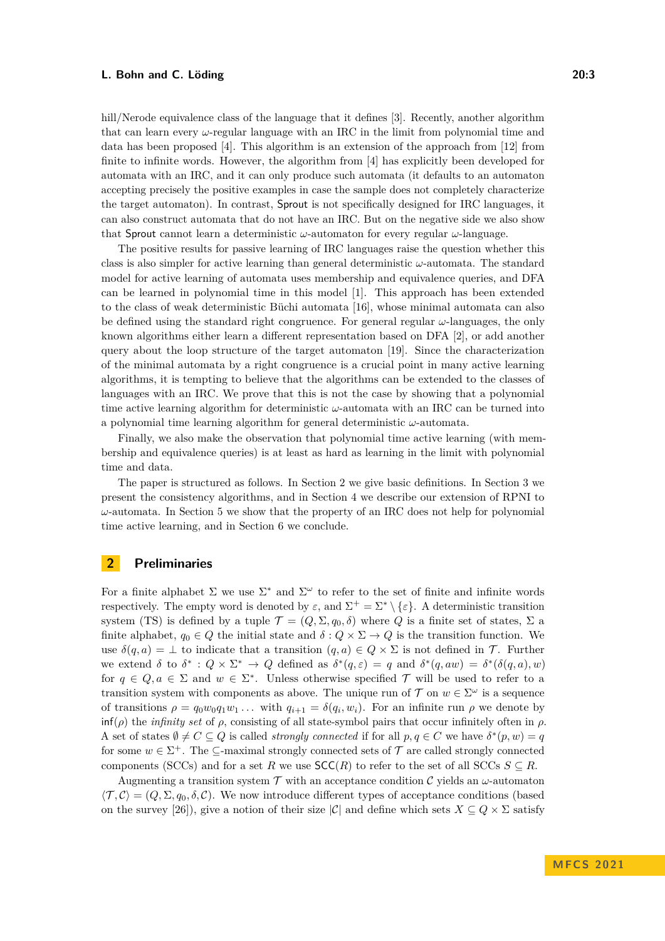hill/Nerode equivalence class of the language that it defines [\[3\]](#page-15-0). Recently, another algorithm that can learn every  $\omega$ -regular language with an IRC in the limit from polynomial time and data has been proposed [\[4\]](#page-15-1). This algorithm is an extension of the approach from [\[12\]](#page-16-10) from finite to infinite words. However, the algorithm from [\[4\]](#page-15-1) has explicitly been developed for automata with an IRC, and it can only produce such automata (it defaults to an automaton accepting precisely the positive examples in case the sample does not completely characterize the target automaton). In contrast, Sprout is not specifically designed for IRC languages, it can also construct automata that do not have an IRC. But on the negative side we also show that Sprout cannot learn a deterministic *ω*-automaton for every regular *ω*-language.

The positive results for passive learning of IRC languages raise the question whether this class is also simpler for active learning than general deterministic *ω*-automata. The standard model for active learning of automata uses membership and equivalence queries, and DFA can be learned in polynomial time in this model [\[1\]](#page-15-2). This approach has been extended to the class of weak deterministic Büchi automata [\[16\]](#page-16-11), whose minimal automata can also be defined using the standard right congruence. For general regular *ω*-languages, the only known algorithms either learn a different representation based on DFA [\[2\]](#page-15-3), or add another query about the loop structure of the target automaton [\[19\]](#page-16-12). Since the characterization of the minimal automata by a right congruence is a crucial point in many active learning algorithms, it is tempting to believe that the algorithms can be extended to the classes of languages with an IRC. We prove that this is not the case by showing that a polynomial time active learning algorithm for deterministic *ω*-automata with an IRC can be turned into a polynomial time learning algorithm for general deterministic *ω*-automata.

Finally, we also make the observation that polynomial time active learning (with membership and equivalence queries) is at least as hard as learning in the limit with polynomial time and data.

The paper is structured as follows. In Section [2](#page-2-0) we give basic definitions. In Section [3](#page-4-0) we present the consistency algorithms, and in Section [4](#page-9-0) we describe our extension of RPNI to *ω*-automata. In Section [5](#page-13-0) we show that the property of an IRC does not help for polynomial time active learning, and in Section [6](#page-15-4) we conclude.

## <span id="page-2-0"></span>**2 Preliminaries**

For a finite alphabet  $\Sigma$  we use  $\Sigma^*$  and  $\Sigma^{\omega}$  to refer to the set of finite and infinite words respectively. The empty word is denoted by  $\varepsilon$ , and  $\Sigma^+ = \Sigma^* \setminus {\varepsilon}$ . A deterministic transition system (TS) is defined by a tuple  $\mathcal{T} = (Q, \Sigma, q_0, \delta)$  where *Q* is a finite set of states,  $\Sigma$  a finite alphabet,  $q_0 \in Q$  the initial state and  $\delta: Q \times \Sigma \to Q$  is the transition function. We use  $\delta(q, a) = \bot$  to indicate that a transition  $(q, a) \in Q \times \Sigma$  is not defined in T. Further we extend  $\delta$  to  $\delta^*$ :  $Q \times \Sigma^* \to Q$  defined as  $\delta^*(q, \varepsilon) = q$  and  $\delta^*(q, aw) = \delta^*(\delta(q, a), w)$ for  $q \in Q, a \in \Sigma$  and  $w \in \Sigma^*$ . Unless otherwise specified  $\mathcal T$  will be used to refer to a transition system with components as above. The unique run of  $\mathcal T$  on  $w \in \Sigma^\omega$  is a sequence of transitions  $\rho = q_0 w_0 q_1 w_1 \dots$  with  $q_{i+1} = \delta(q_i, w_i)$ . For an infinite run  $\rho$  we denote by inf(*ρ*) the *infinity set* of *ρ*, consisting of all state-symbol pairs that occur infinitely often in *ρ*. A set of states  $\emptyset \neq C \subseteq Q$  is called *strongly connected* if for all  $p, q \in C$  we have  $\delta^*(p, w) = q$ for some  $w \in \Sigma^+$ . The  $\subseteq$ -maximal strongly connected sets of  $\mathcal T$  are called strongly connected components (SCCs) and for a set *R* we use  $SCC(R)$  to refer to the set of all SCCs  $S \subseteq R$ .

Augmenting a transition system  $\mathcal T$  with an acceptance condition C yields an  $\omega$ -automaton  $\langle \mathcal{T}, \mathcal{C} \rangle = (Q, \Sigma, q_0, \delta, \mathcal{C})$ . We now introduce different types of acceptance conditions (based on the survey [\[26\]](#page-17-0)), give a notion of their size  $|\mathcal{C}|$  and define which sets  $X \subseteq Q \times \Sigma$  satisfy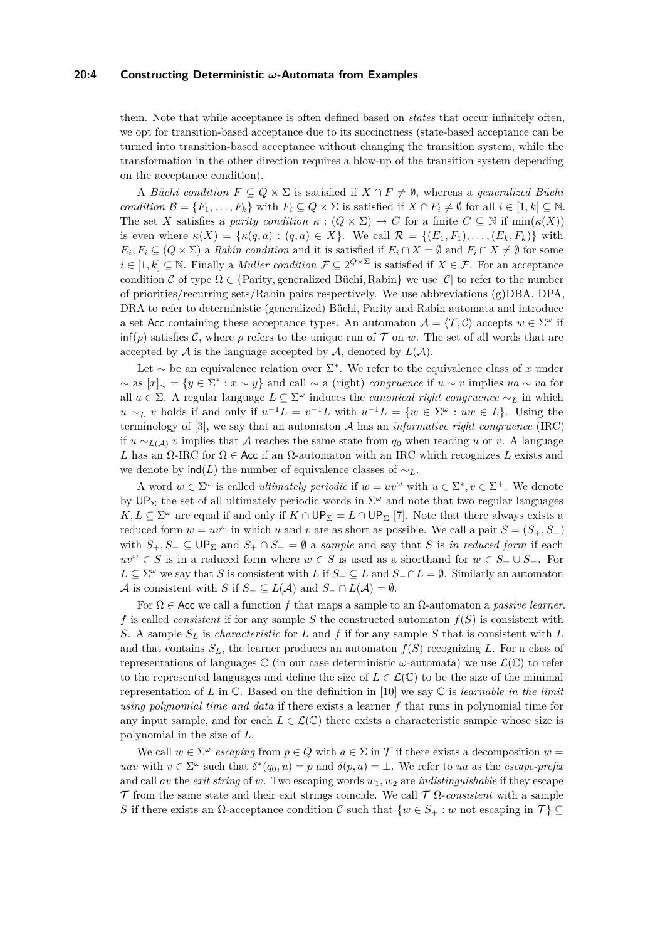#### **20:4 Constructing Deterministic** *ω***-Automata from Examples**

them. Note that while acceptance is often defined based on *states* that occur infinitely often, we opt for transition-based acceptance due to its succinctness (state-based acceptance can be turned into transition-based acceptance without changing the transition system, while the transformation in the other direction requires a blow-up of the transition system depending on the acceptance condition).

A *Büchi condition*  $F \subseteq Q \times \Sigma$  is satisfied if  $X \cap F \neq \emptyset$ , whereas a *generalized Büchi condition*  $\mathcal{B} = \{F_1, \ldots, F_k\}$  with  $F_i \subseteq Q \times \Sigma$  is satisfied if  $X \cap F_i \neq \emptyset$  for all  $i \in [1, k] \subseteq \mathbb{N}$ . The set *X* satisfies a *parity condition*  $\kappa : (Q \times \Sigma) \to C$  for a finite  $C \subseteq \mathbb{N}$  if  $\min(\kappa(X))$ is even where  $\kappa(X) = {\kappa(q, a) : (q, a) \in X}$ . We call  $\mathcal{R} = {\{E_1, F_1), \ldots, (E_k, F_k)\}}$  with  $E_i, F_i \subseteq (Q \times \Sigma)$  a *Rabin condition* and it is satisfied if  $E_i \cap X = \emptyset$  and  $F_i \cap X \neq \emptyset$  for some  $i \in [1, k] \subseteq \mathbb{N}$ . Finally a *Muller condition*  $\mathcal{F} \subseteq 2^{Q \times \Sigma}$  is satisfied if  $X \in \mathcal{F}$ . For an acceptance condition C of type  $\Omega \in \{$ Parity, generalized Büchi, Rabin $\}$  we use  $|\mathcal{C}|$  to refer to the number of priorities/recurring sets/Rabin pairs respectively. We use abbreviations (g)DBA, DPA, DRA to refer to deterministic (generalized) Büchi, Parity and Rabin automata and introduce a set Acc containing these acceptance types. An automaton  $A = \langle T, C \rangle$  accepts  $w \in \Sigma^{\omega}$  if  $\inf(\rho)$  satisfies C, where  $\rho$  refers to the unique run of T on *w*. The set of all words that are accepted by  $A$  is the language accepted by  $A$ , denoted by  $L(A)$ .

Let ∼ be an equivalence relation over Σ ∗ . We refer to the equivalence class of *x* under ∼ as [*x*]<sup>∼</sup> = {*y* ∈ Σ ∗ : *x* ∼ *y*} and call ∼ a (right) *congruence* if *u* ∼ *v* implies *ua* ∼ *va* for all  $a \in \Sigma$ . A regular language  $L \subseteq \Sigma^\omega$  induces the *canonical right congruence*  $\sim_L$  in which *u* ∼*L v* holds if and only if  $u^{-1}L = v^{-1}L$  with  $u^{-1}L = \{w \in \Sigma^\omega : uw \in L\}$ . Using the terminology of [\[3\]](#page-15-0), we say that an automaton A has an *informative right congruence* (IRC) if  $u \sim$ <sub>*L*(A)</sub> *v* implies that A reaches the same state from  $q_0$  when reading *u* or *v*. A language *L* has an Ω-IRC for  $\Omega \in$  Acc if an  $\Omega$ -automaton with an IRC which recognizes *L* exists and we denote by  $\text{ind}(L)$  the number of equivalence classes of  $\sim_L$ .

A word  $w \in \Sigma^\omega$  is called *ultimately periodic* if  $w = uv^\omega$  with  $u \in \Sigma^*, v \in \Sigma^+$ . We denote by UP<sub>Σ</sub> the set of all ultimately periodic words in  $\Sigma^{\omega}$  and note that two regular languages *K*, *L* ⊆  $\Sigma^{\omega}$  are equal if and only if *K* ∩ UP<sub>Σ</sub> = *L* ∩ UP<sub>Σ</sub> [\[7\]](#page-16-0). Note that there always exists a reduced form  $w = uv^{\omega}$  in which *u* and *v* are as short as possible. We call a pair  $S = (S_+, S_-)$ with  $S_+, S_- \subset \mathsf{UP}_\Sigma$  and  $S_+ \cap S_- = \emptyset$  a *sample* and say that *S* is *in reduced form* if each *uv*<sup> $ω$ </sup> ∈ *S* is in a reduced form where  $w \in S$  is used as a shorthand for  $w \in S_+ \cup S_-$ . For *L* ⊆  $\Sigma^{\omega}$  we say that *S* is consistent with *L* if  $S_+$  ⊆ *L* and  $S_-\cap L = \emptyset$ . Similarly an automaton A is consistent with *S* if  $S_+ \subseteq L(\mathcal{A})$  and  $S_- \cap L(\mathcal{A}) = \emptyset$ .

For Ω ∈ Acc we call a function *f* that maps a sample to an Ω-automaton a *passive learner*. *f* is called *consistent* if for any sample *S* the constructed automaton *f*(*S*) is consistent with *S*. A sample *S<sup>L</sup>* is *characteristic* for *L* and *f* if for any sample *S* that is consistent with *L* and that contains  $S_L$ , the learner produces an automaton  $f(S)$  recognizing L. For a class of representations of languages C (in our case deterministic *ω*-automata) we use L(C) to refer to the represented languages and define the size of  $L \in \mathcal{L}(\mathbb{C})$  to be the size of the minimal representation of *L* in C. Based on the definition in [\[10\]](#page-16-13) we say C is *learnable in the limit using polynomial time and data* if there exists a learner *f* that runs in polynomial time for any input sample, and for each  $L \in \mathcal{L}(\mathbb{C})$  there exists a characteristic sample whose size is polynomial in the size of *L*.

We call  $w \in \Sigma^{\omega}$  *escaping* from  $p \in Q$  with  $a \in \Sigma$  in T if there exists a decomposition  $w =$ *uav* with  $v \in \Sigma^{\omega}$  such that  $\delta^*(q_0, u) = p$  and  $\delta(p, a) = \bot$ . We refer to *ua* as the *escape-prefix* and call *av* the *exit string* of *w*. Two escaping words  $w_1, w_2$  are *indistinguishable* if they escape T from the same state and their exit strings coincide. We call T Ω-*consistent* with a sample *S* if there exists an  $\Omega$ -acceptance condition  $\mathcal C$  such that  $\{w \in S_+: w$  not escaping in  $\mathcal T\} \subseteq$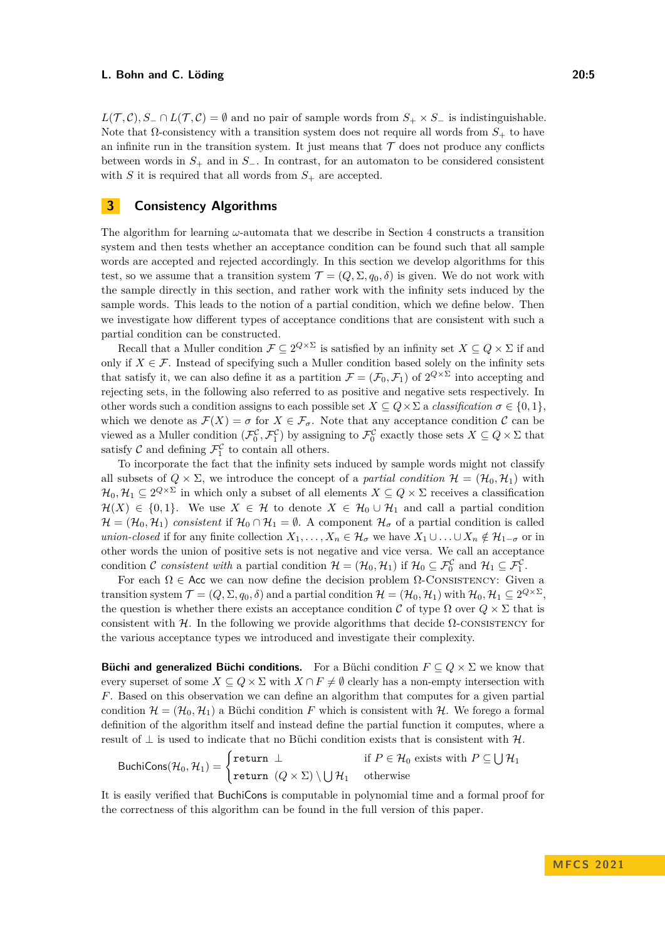*L*( $T, C$ )*, S*− ∩ *L*( $T, C$ ) = ∅ and no pair of sample words from  $S_+ \times S_-$  is indistinguishable. Note that  $\Omega$ -consistency with a transition system does not require all words from  $S_+$  to have an infinite run in the transition system. It just means that  $\mathcal T$  does not produce any conflicts between words in *S*<sup>+</sup> and in *S*−. In contrast, for an automaton to be considered consistent with *S* it is required that all words from  $S_+$  are accepted.

## <span id="page-4-0"></span>**3 Consistency Algorithms**

The algorithm for learning *ω*-automata that we describe in Section [4](#page-9-0) constructs a transition system and then tests whether an acceptance condition can be found such that all sample words are accepted and rejected accordingly. In this section we develop algorithms for this test, so we assume that a transition system  $\mathcal{T} = (Q, \Sigma, q_0, \delta)$  is given. We do not work with the sample directly in this section, and rather work with the infinity sets induced by the sample words. This leads to the notion of a partial condition, which we define below. Then we investigate how different types of acceptance conditions that are consistent with such a partial condition can be constructed.

Recall that a Muller condition  $\mathcal{F} \subseteq 2^{Q \times \Sigma}$  is satisfied by an infinity set  $X \subseteq Q \times \Sigma$  if and only if  $X \in \mathcal{F}$ . Instead of specifying such a Muller condition based solely on the infinity sets that satisfy it, we can also define it as a partition  $\mathcal{F} = (\mathcal{F}_0, \mathcal{F}_1)$  of  $2^{Q \times \Sigma}$  into accepting and rejecting sets, in the following also referred to as positive and negative sets respectively. In other words such a condition assigns to each possible set  $X \subseteq Q \times \Sigma$  a *classification*  $\sigma \in \{0, 1\}$ . which we denote as  $\mathcal{F}(X) = \sigma$  for  $X \in \mathcal{F}_{\sigma}$ . Note that any acceptance condition  $\mathcal{C}$  can be viewed as a Muller condition  $(\mathcal{F}_0^{\mathcal{C}}, \mathcal{F}_1^{\mathcal{C}})$  by assigning to  $\mathcal{F}_0^{\mathcal{C}}$  exactly those sets  $X \subseteq Q \times \Sigma$  that satisfy  $\mathcal{C}$  and defining  $\mathcal{F}_1^{\mathcal{C}}$  to contain all others.

To incorporate the fact that the infinity sets induced by sample words might not classify all subsets of  $Q \times \Sigma$ , we introduce the concept of a *partial condition*  $\mathcal{H} = (\mathcal{H}_0, \mathcal{H}_1)$  with  $\mathcal{H}_0, \mathcal{H}_1 \subseteq 2^{Q \times \Sigma}$  in which only a subset of all elements  $X \subseteq Q \times \Sigma$  receives a classification  $\mathcal{H}(X) \in \{0,1\}$ . We use  $X \in \mathcal{H}$  to denote  $X \in \mathcal{H}_0 \cup \mathcal{H}_1$  and call a partial condition  $\mathcal{H} = (\mathcal{H}_0, \mathcal{H}_1)$  *consistent* if  $\mathcal{H}_0 \cap \mathcal{H}_1 = \emptyset$ . A component  $\mathcal{H}_{\sigma}$  of a partial condition is called *union-closed* if for any finite collection  $X_1, \ldots, X_n \in \mathcal{H}_{\sigma}$  we have  $X_1 \cup \ldots \cup X_n \notin \mathcal{H}_{1-\sigma}$  or in other words the union of positive sets is not negative and vice versa. We call an acceptance condition C consistent with a partial condition  $\mathcal{H} = (\mathcal{H}_0, \mathcal{H}_1)$  if  $\mathcal{H}_0 \subseteq \mathcal{F}_0^{\mathcal{C}}$  and  $\mathcal{H}_1 \subseteq \mathcal{F}_1^{\mathcal{C}}$ .

For each  $\Omega \in \mathsf{Acc}$  we can now define the decision problem  $\Omega$ -CONSISTENCY: Given a transition system  $\mathcal{T} = (Q, \Sigma, q_0, \delta)$  and a partial condition  $\mathcal{H} = (\mathcal{H}_0, \mathcal{H}_1)$  with  $\mathcal{H}_0, \mathcal{H}_1 \subseteq 2^{Q \times \Sigma}$ , the question is whether there exists an acceptance condition C of type  $\Omega$  over  $Q \times \Sigma$  that is consistent with H. In the following we provide algorithms that decide  $\Omega$ -consistency for the various acceptance types we introduced and investigate their complexity.

**Büchi and generalized Büchi conditions.** For a Büchi condition  $F \subseteq Q \times \Sigma$  we know that every superset of some  $X \subseteq Q \times \Sigma$  with  $X \cap F \neq \emptyset$  clearly has a non-empty intersection with *F*. Based on this observation we can define an algorithm that computes for a given partial condition  $\mathcal{H} = (\mathcal{H}_0, \mathcal{H}_1)$  a Büchi condition F which is consistent with  $\mathcal{H}$ . We forego a formal definition of the algorithm itself and instead define the partial function it computes, where a result of  $\perp$  is used to indicate that no Büchi condition exists that is consistent with  $\mathcal{H}$ .

$$
\text{BuchiCons}(\mathcal{H}_0, \mathcal{H}_1) = \begin{cases} \text{return } \perp & \text{if } P \in \mathcal{H}_0 \text{ exists with } P \subseteq \bigcup \mathcal{H}_1 \\ \text{return } (Q \times \Sigma) \setminus \bigcup \mathcal{H}_1 & \text{otherwise} \end{cases}
$$

It is easily verified that BuchiCons is computable in polynomial time and a formal proof for the correctness of this algorithm can be found in the full version of this paper.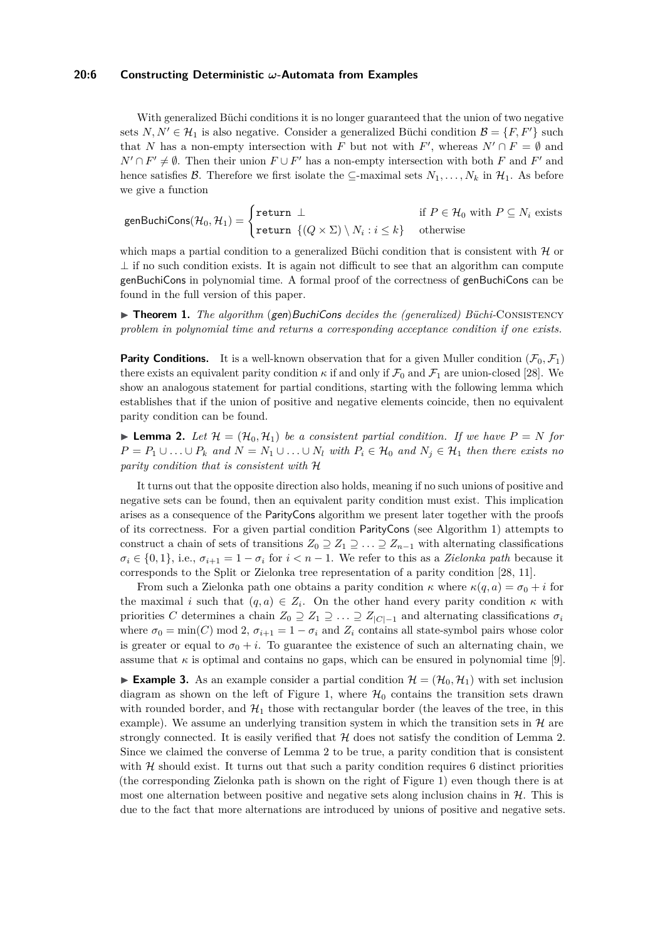### **20:6 Constructing Deterministic** *ω***-Automata from Examples**

With generalized Büchi conditions it is no longer guaranteed that the union of two negative sets  $N, N' \in \mathcal{H}_1$  is also negative. Consider a generalized Büchi condition  $\mathcal{B} = \{F, F'\}$  such that *N* has a non-empty intersection with *F* but not with *F*', whereas  $N' \cap F = \emptyset$  and *N*<sup>'</sup> ∩ *F*<sup>'</sup>  $\neq$  Ø. Then their union *F* ∪ *F*<sup>'</sup> has a non-empty intersection with both *F* and *F*<sup>'</sup> and hence satisfies B. Therefore we first isolate the  $\subseteq$ -maximal sets  $N_1, \ldots, N_k$  in  $\mathcal{H}_1$ . As before we give a function

 $\text{genBuchiCons}(\mathcal{H}_0, \mathcal{H}_1) = \begin{cases} \text{return } \perp & \text{if } P \in \mathcal{H}_0 \text{ with } P \subseteq N_i \text{ exists} \end{cases}$  $\texttt{return } \{ (Q \times \Sigma) \setminus N_i : i \leq k \}$  otherwise

which maps a partial condition to a generalized Büchi condition that is consistent with  $\mathcal H$  or  $\perp$  if no such condition exists. It is again not difficult to see that an algorithm can compute genBuchiCons in polynomial time. A formal proof of the correctness of genBuchiCons can be found in the full version of this paper.

▶ **Theorem 1.** *The algorithm* (gen)BuchiCons *decides the (generalized) Büchi*-CONSISTENCY *problem in polynomial time and returns a corresponding acceptance condition if one exists.*

**Parity Conditions.** It is a well-known observation that for a given Muller condition  $(\mathcal{F}_0, \mathcal{F}_1)$ there exists an equivalent parity condition  $\kappa$  if and only if  $\mathcal{F}_0$  and  $\mathcal{F}_1$  are union-closed [\[28\]](#page-17-5). We show an analogous statement for partial conditions, starting with the following lemma which establishes that if the union of positive and negative elements coincide, then no equivalent parity condition can be found.

<span id="page-5-0"></span> $\blacktriangleright$  **Lemma 2.** Let  $\mathcal{H} = (\mathcal{H}_0, \mathcal{H}_1)$  be a consistent partial condition. If we have  $P = N$  for *P* =  $P_1 ∪ \ldots ∪ P_k$  *and*  $N = N_1 ∪ \ldots ∪ N_l$  *with*  $P_i ∈ H_0$  *and*  $N_j ∈ H_1$  *then there exists no parity condition that is consistent with* H

It turns out that the opposite direction also holds, meaning if no such unions of positive and negative sets can be found, then an equivalent parity condition must exist. This implication arises as a consequence of the ParityCons algorithm we present later together with the proofs of its correctness. For a given partial condition ParityCons (see [Algorithm 1\)](#page-6-0) attempts to construct a chain of sets of transitions  $Z_0 \supseteq Z_1 \supseteq \ldots \supseteq Z_{n-1}$  with alternating classifications  $\sigma_i \in \{0, 1\}$ , i.e.,  $\sigma_{i+1} = 1 - \sigma_i$  for  $i < n - 1$ . We refer to this as a *Zielonka path* because it corresponds to the Split or Zielonka tree representation of a parity condition [\[28,](#page-17-5) [11\]](#page-16-14).

From such a Zielonka path one obtains a parity condition  $\kappa$  where  $\kappa(q, a) = \sigma_0 + i$  for the maximal *i* such that  $(q, a) \in Z_i$ . On the other hand every parity condition  $\kappa$  with priorities *C* determines a chain  $Z_0 \supseteq Z_1 \supseteqeq \ldots \supseteq Z_{|C|-1}$  and alternating classifications  $\sigma_i$ where  $\sigma_0 = \min(C) \mod 2$ ,  $\sigma_{i+1} = 1 - \sigma_i$  and  $Z_i$  contains all state-symbol pairs whose color is greater or equal to  $\sigma_0 + i$ . To guarantee the existence of such an alternating chain, we assume that  $\kappa$  is optimal and contains no gaps, which can be ensured in polynomial time [\[9\]](#page-16-15).

<span id="page-5-1"></span>**Example 3.** As an example consider a partial condition  $\mathcal{H} = (\mathcal{H}_0, \mathcal{H}_1)$  with set inclusion diagram as shown on the left of [Figure 1,](#page-6-1) where  $\mathcal{H}_0$  contains the transition sets drawn with rounded border, and  $\mathcal{H}_1$  those with rectangular border (the leaves of the tree, in this example). We assume an underlying transition system in which the transition sets in  $\mathcal{H}$  are strongly connected. It is easily verified that  $H$  does not satisfy the condition of [Lemma 2.](#page-5-0) Since we claimed the converse of [Lemma 2](#page-5-0) to be true, a parity condition that is consistent with  $H$  should exist. It turns out that such a parity condition requires 6 distinct priorities (the corresponding Zielonka path is shown on the right of [Figure 1\)](#page-6-1) even though there is at most one alternation between positive and negative sets along inclusion chains in  $H$ . This is due to the fact that more alternations are introduced by unions of positive and negative sets.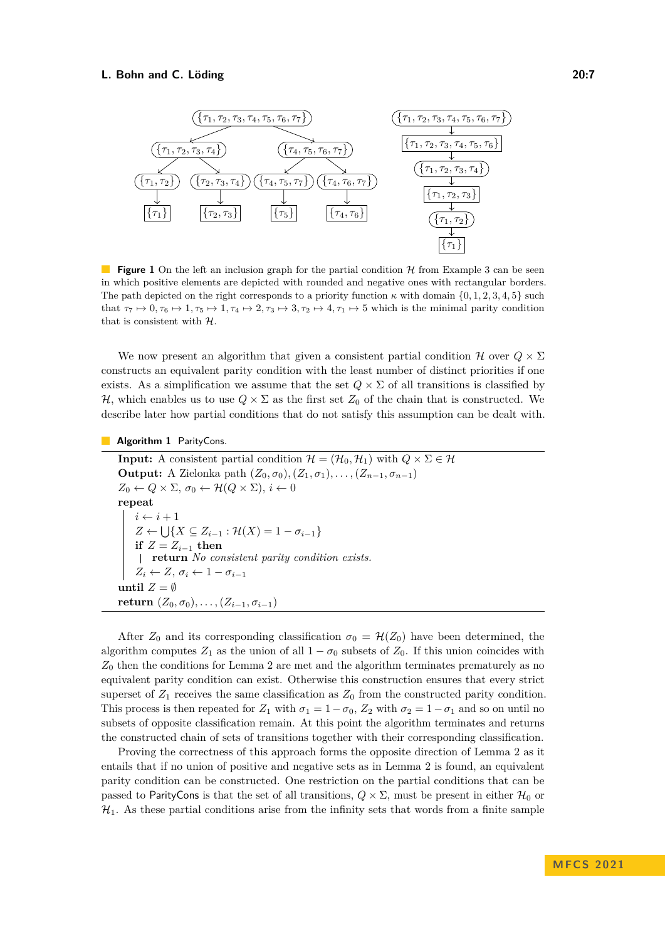<span id="page-6-1"></span>

**Figure 1** On the left an inclusion graph for the partial condition H from [Example 3](#page-5-1) can be seen in which positive elements are depicted with rounded and negative ones with rectangular borders. The path depicted on the right corresponds to a priority function  $\kappa$  with domain  $\{0, 1, 2, 3, 4, 5\}$  such that  $\tau_7 \mapsto 0, \tau_6 \mapsto 1, \tau_5 \mapsto 1, \tau_4 \mapsto 2, \tau_3 \mapsto 3, \tau_2 \mapsto 4, \tau_1 \mapsto 5$  which is the minimal parity condition that is consistent with  $H$ .

We now present an algorithm that given a consistent partial condition  $\mathcal H$  over  $Q \times \Sigma$ constructs an equivalent parity condition with the least number of distinct priorities if one exists. As a simplification we assume that the set  $Q \times \Sigma$  of all transitions is classified by H, which enables us to use  $Q \times \Sigma$  as the first set  $Z_0$  of the chain that is constructed. We describe later how partial conditions that do not satisfy this assumption can be dealt with.

**Algorithm 1** ParityCons.

**Input:** A consistent partial condition  $\mathcal{H} = (\mathcal{H}_0, \mathcal{H}_1)$  with  $Q \times \Sigma \in \mathcal{H}$ **Output:** A Zielonka path  $(Z_0, \sigma_0), (Z_1, \sigma_1), \ldots, (Z_{n-1}, \sigma_{n-1})$  $Z_0 \leftarrow Q \times \Sigma$ ,  $\sigma_0 \leftarrow \mathcal{H}(Q \times \Sigma)$ ,  $i \leftarrow 0$ **repeat**  $i \leftarrow i + 1$  $Z \leftarrow \bigcup \{ X \subseteq Z_{i-1} : \mathcal{H}(X) = 1 - \sigma_{i-1} \}$ **if**  $Z = Z_{i-1}$  **then return** *No consistent parity condition exists.*  $Z_i \leftarrow Z$ ,  $\sigma_i \leftarrow 1 - \sigma_{i-1}$ **until**  $Z = \emptyset$ **return**  $(Z_0, \sigma_0), \ldots, (Z_{i-1}, \sigma_{i-1})$ 

<span id="page-6-0"></span>After  $Z_0$  and its corresponding classification  $\sigma_0 = \mathcal{H}(Z_0)$  have been determined, the algorithm computes  $Z_1$  as the union of all  $1 - \sigma_0$  subsets of  $Z_0$ . If this union coincides with *Z*<sup>0</sup> then the conditions for [Lemma 2](#page-5-0) are met and the algorithm terminates prematurely as no equivalent parity condition can exist. Otherwise this construction ensures that every strict superset of  $Z_1$  receives the same classification as  $Z_0$  from the constructed parity condition. This process is then repeated for  $Z_1$  with  $\sigma_1 = 1 - \sigma_0$ ,  $Z_2$  with  $\sigma_2 = 1 - \sigma_1$  and so on until no subsets of opposite classification remain. At this point the algorithm terminates and returns the constructed chain of sets of transitions together with their corresponding classification.

Proving the correctness of this approach forms the opposite direction of [Lemma 2](#page-5-0) as it entails that if no union of positive and negative sets as in [Lemma 2](#page-5-0) is found, an equivalent parity condition can be constructed. One restriction on the partial conditions that can be passed to ParityCons is that the set of all transitions,  $Q \times \Sigma$ , must be present in either  $\mathcal{H}_0$  or  $\mathcal{H}_1$ . As these partial conditions arise from the infinity sets that words from a finite sample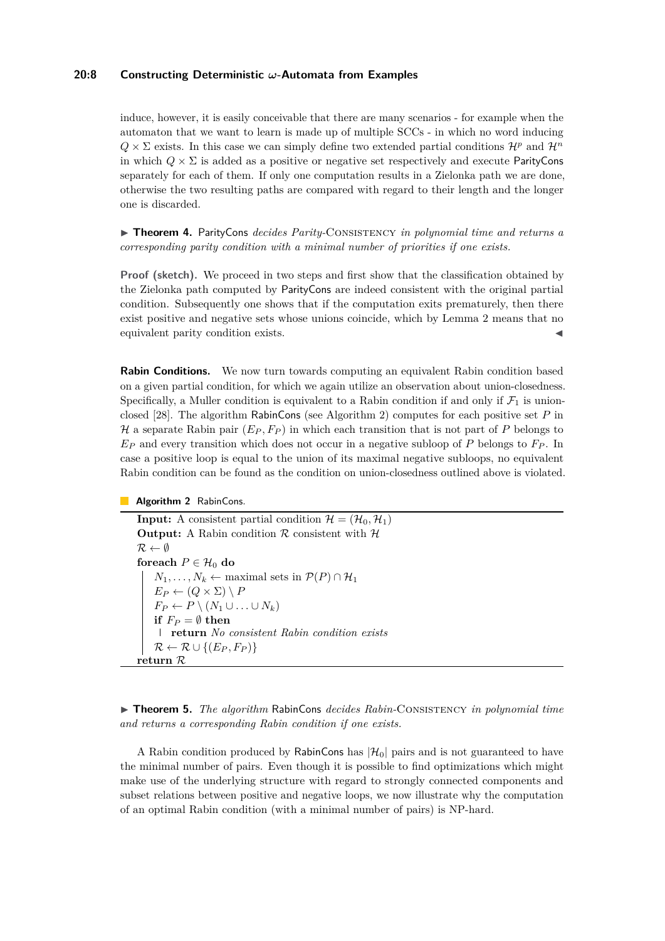## **20:8 Constructing Deterministic** *ω***-Automata from Examples**

induce, however, it is easily conceivable that there are many scenarios - for example when the automaton that we want to learn is made up of multiple SCCs - in which no word inducing  $Q \times \Sigma$  exists. In this case we can simply define two extended partial conditions  $\mathcal{H}^p$  and  $\mathcal{H}^n$ in which  $Q \times \Sigma$  is added as a positive or negative set respectively and execute ParityCons separately for each of them. If only one computation results in a Zielonka path we are done, otherwise the two resulting paths are compared with regard to their length and the longer one is discarded.

▶ **Theorem 4.** ParityCons *decides Parity-*Consistency *in polynomial time and returns a corresponding parity condition with a minimal number of priorities if one exists.*

**Proof (sketch).** We proceed in two steps and first show that the classification obtained by the Zielonka path computed by ParityCons are indeed consistent with the original partial condition. Subsequently one shows that if the computation exits prematurely, then there exist positive and negative sets whose unions coincide, which by [Lemma 2](#page-5-0) means that no equivalent parity condition exists.

**Rabin Conditions.** We now turn towards computing an equivalent Rabin condition based on a given partial condition, for which we again utilize an observation about union-closedness. Specifically, a Muller condition is equivalent to a Rabin condition if and only if  $\mathcal{F}_1$  is unionclosed [\[28\]](#page-17-5). The algorithm RabinCons (see [Algorithm 2\)](#page-7-0) computes for each positive set *P* in H a separate Rabin pair  $(E_P, F_P)$  in which each transition that is not part of P belongs to *E<sup>P</sup>* and every transition which does not occur in a negative subloop of *P* belongs to *F<sup>P</sup>* . In case a positive loop is equal to the union of its maximal negative subloops, no equivalent Rabin condition can be found as the condition on union-closedness outlined above is violated.

#### **Algorithm 2** RabinCons.

**Input:** A consistent partial condition  $\mathcal{H} = (\mathcal{H}_0, \mathcal{H}_1)$ **Output:** A Rabin condition  $\mathcal R$  consistent with  $\mathcal H$  $\mathcal{R} \leftarrow \emptyset$ **foreach**  $P \in \mathcal{H}_0$  **do**  $N_1, \ldots, N_k \leftarrow$  maximal sets in  $\mathcal{P}(P) \cap \mathcal{H}_1$  $E_P \leftarrow (Q \times \Sigma) \setminus P$  $F_P \leftarrow P \setminus (N_1 \cup \ldots \cup N_k)$ **if**  $F_P = \emptyset$  **then return** *No consistent Rabin condition exists*  $\mathcal{R} \leftarrow \mathcal{R} \cup \{(E_P, F_P)\}$ **return** R

<span id="page-7-0"></span>▶ **Theorem 5.** *The algorithm* RabinCons *decides Rabin-*Consistency *in polynomial time and returns a corresponding Rabin condition if one exists.*

A Rabin condition produced by RabinCons has  $|\mathcal{H}_0|$  pairs and is not guaranteed to have the minimal number of pairs. Even though it is possible to find optimizations which might make use of the underlying structure with regard to strongly connected components and subset relations between positive and negative loops, we now illustrate why the computation of an optimal Rabin condition (with a minimal number of pairs) is NP-hard.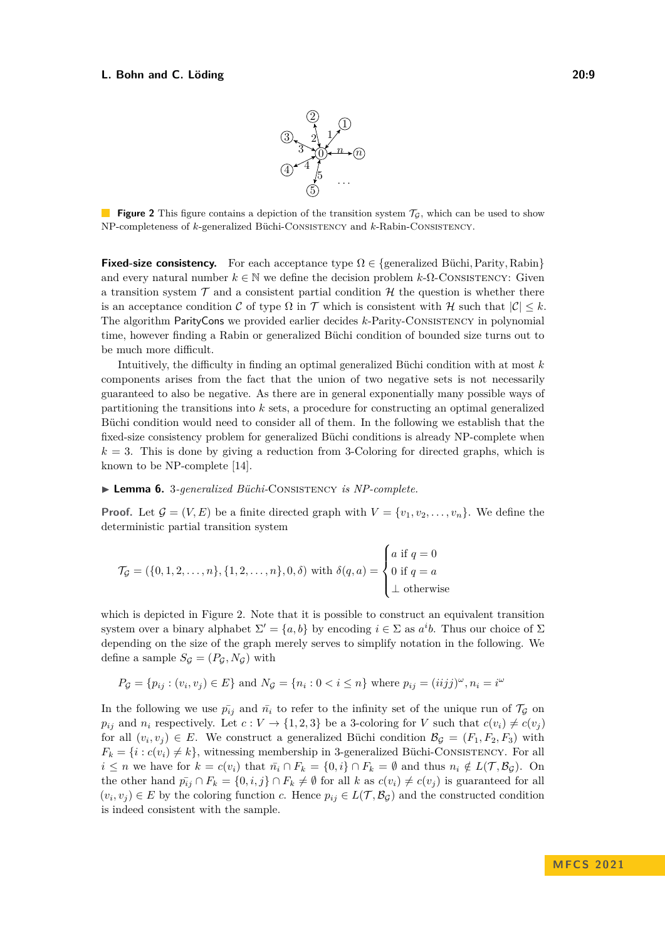

<span id="page-8-0"></span>**Figure 2** This figure contains a depiction of the transition system  $\mathcal{T}_{\mathcal{G}}$ , which can be used to show NP-completeness of *k*-generalized Büchi-Consistency and *k*-Rabin-Consistency.

**Fixed-size consistency.** For each acceptance type  $\Omega \in \{\text{generalized Büchi}, \text{Parity}, \text{Rabin}\}\$ and every natural number  $k \in \mathbb{N}$  we define the decision problem  $k$ - $\Omega$ -Consistency: Given a transition system  $\mathcal T$  and a consistent partial condition  $\mathcal H$  the question is whether there is an acceptance condition C of type  $\Omega$  in T which is consistent with H such that  $|\mathcal{C}| \leq k$ . The algorithm ParityCons we provided earlier decides *k*-Parity-Consistency in polynomial time, however finding a Rabin or generalized Büchi condition of bounded size turns out to be much more difficult.

Intuitively, the difficulty in finding an optimal generalized Büchi condition with at most *k* components arises from the fact that the union of two negative sets is not necessarily guaranteed to also be negative. As there are in general exponentially many possible ways of partitioning the transitions into *k* sets, a procedure for constructing an optimal generalized Büchi condition would need to consider all of them. In the following we establish that the fixed-size consistency problem for generalized Büchi conditions is already NP-complete when  $k = 3$ . This is done by giving a reduction from 3-Coloring for directed graphs, which is known to be NP-complete [\[14\]](#page-16-16).

▶ **Lemma 6.** 3*-generalized Büchi-*Consistency *is NP-complete.*

**Proof.** Let  $\mathcal{G} = (V, E)$  be a finite directed graph with  $V = \{v_1, v_2, \ldots, v_n\}$ . We define the deterministic partial transition system

$$
\mathcal{T}_{\mathcal{G}} = (\{0, 1, 2, \dots, n\}, \{1, 2, \dots, n\}, 0, \delta) \text{ with } \delta(q, a) = \begin{cases} a \text{ if } q = 0 \\ 0 \text{ if } q = a \\ \bot \text{ otherwise} \end{cases}
$$

which is depicted in [Figure 2.](#page-8-0) Note that it is possible to construct an equivalent transition system over a binary alphabet  $\Sigma' = \{a, b\}$  by encoding  $i \in \Sigma$  as  $a^i b$ . Thus our choice of  $\Sigma$ depending on the size of the graph merely serves to simplify notation in the following. We define a sample  $S<sub>G</sub> = (P<sub>G</sub>, N<sub>G</sub>)$  with

$$
P_{\mathcal{G}} = \{p_{ij} : (v_i, v_j) \in E\}
$$
 and 
$$
N_{\mathcal{G}} = \{n_i : 0 < i \leq n\}
$$
 where 
$$
p_{ij} = (iijj)^{\omega}, n_i = i^{\omega}
$$

In the following we use  $\bar{p}_{ij}$  and  $\bar{n}_i$  to refer to the infinity set of the unique run of  $\mathcal{T}_{\mathcal{G}}$  on *p*<sub>ij</sub> and *n*<sub>*i*</sub> respectively. Let  $c: V \to \{1, 2, 3\}$  be a 3-coloring for *V* such that  $c(v_i) \neq c(v_j)$ for all  $(v_i, v_j) \in E$ . We construct a generalized Büchi condition  $\mathcal{B}_{\mathcal{G}} = (F_1, F_2, F_3)$  with  $F_k = \{i : c(v_i) \neq k\}$ , witnessing membership in 3-generalized Büchi-CONSISTENCY. For all *i* ≤ *n* we have for  $k = c(v_i)$  that  $\bar{n_i} \cap F_k = \{0, i\} \cap F_k = \emptyset$  and thus  $n_i \notin L(\mathcal{T}, \mathcal{B}_{\mathcal{G}})$ . On the other hand  $p_{ij} \cap F_k = \{0, i, j\} \cap F_k \neq \emptyset$  for all *k* as  $c(v_i) \neq c(v_j)$  is guaranteed for all  $(v_i, v_j) \in E$  by the coloring function *c*. Hence  $p_{ij} \in L(\mathcal{T}, \mathcal{B}_{\mathcal{G}})$  and the constructed condition is indeed consistent with the sample.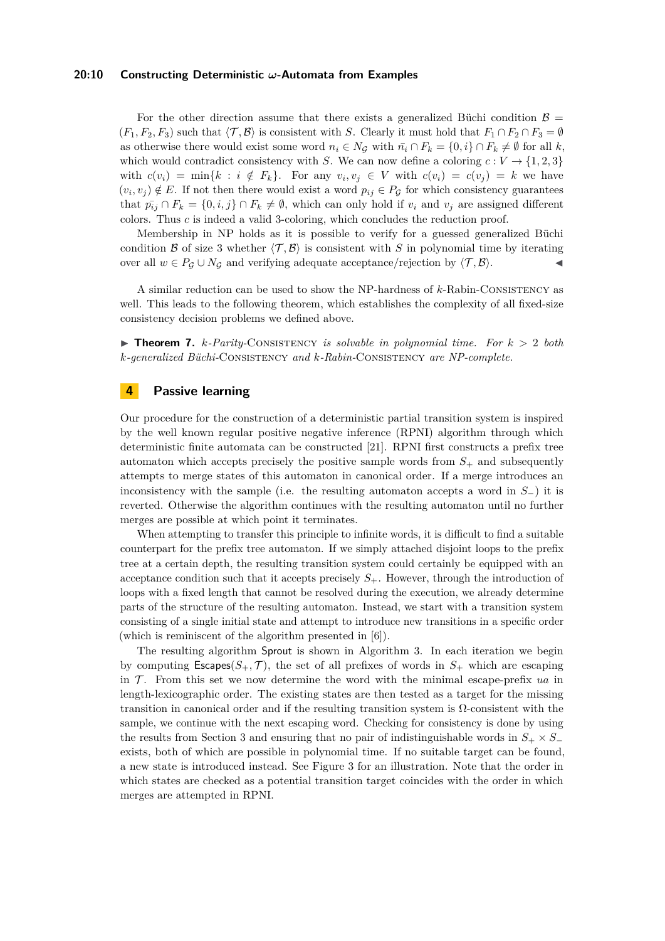#### **20:10 Constructing Deterministic** *ω***-Automata from Examples**

For the other direction assume that there exists a generalized Büchi condition  $\beta =$  $(F_1, F_2, F_3)$  such that  $\langle \mathcal{T}, \mathcal{B} \rangle$  is consistent with *S*. Clearly it must hold that  $F_1 \cap F_2 \cap F_3 = \emptyset$ as otherwise there would exist some word  $n_i \in N_G$  with  $\bar{n_i} \cap F_k = \{0, i\} \cap F_k \neq \emptyset$  for all k, which would contradict consistency with *S*. We can now define a coloring  $c: V \rightarrow \{1, 2, 3\}$ with  $c(v_i) = \min\{k : i \notin F_k\}$ . For any  $v_i, v_j \in V$  with  $c(v_i) = c(v_j) = k$  we have  $(v_i, v_j) \notin E$ . If not then there would exist a word  $p_{ij} \in P_G$  for which consistency guarantees that  $p_{ij} \cap F_k = \{0, i, j\} \cap F_k \neq \emptyset$ , which can only hold if  $v_i$  and  $v_j$  are assigned different colors. Thus *c* is indeed a valid 3-coloring, which concludes the reduction proof.

Membership in NP holds as it is possible to verify for a guessed generalized Büchi condition B of size 3 whether  $\langle \mathcal{T}, \mathcal{B} \rangle$  is consistent with S in polynomial time by iterating over all  $w \in P_G \cup N_G$  and verifying adequate acceptance/rejection by  $\langle \mathcal{T}, \mathcal{B} \rangle$ .

A similar reduction can be used to show the NP-hardness of *k*-Rabin-Consistency as well. This leads to the following theorem, which establishes the complexity of all fixed-size consistency decision problems we defined above.

 $\triangleright$  **Theorem 7.** *k*-*Parity*-CONSISTENCY *is solvable in polynomial time. For*  $k > 2$  *both k-generalized Büchi-*Consistency *and k-Rabin-*Consistency *are NP-complete.*

## <span id="page-9-0"></span>**4 Passive learning**

Our procedure for the construction of a deterministic partial transition system is inspired by the well known regular positive negative inference (RPNI) algorithm through which deterministic finite automata can be constructed [\[21\]](#page-16-6). RPNI first constructs a prefix tree automaton which accepts precisely the positive sample words from  $S_+$  and subsequently attempts to merge states of this automaton in canonical order. If a merge introduces an inconsistency with the sample (i.e. the resulting automaton accepts a word in *S*−) it is reverted. Otherwise the algorithm continues with the resulting automaton until no further merges are possible at which point it terminates.

When attempting to transfer this principle to infinite words, it is difficult to find a suitable counterpart for the prefix tree automaton. If we simply attached disjoint loops to the prefix tree at a certain depth, the resulting transition system could certainly be equipped with an acceptance condition such that it accepts precisely  $S_{+}$ . However, through the introduction of loops with a fixed length that cannot be resolved during the execution, we already determine parts of the structure of the resulting automaton. Instead, we start with a transition system consisting of a single initial state and attempt to introduce new transitions in a specific order (which is reminiscent of the algorithm presented in [\[6\]](#page-16-17)).

The resulting algorithm Sprout is shown in [Algorithm 3.](#page-10-0) In each iteration we begin by computing  $\textsf{Escapes}(S_+, \mathcal{T})$ , the set of all prefixes of words in  $S_+$  which are escaping in  $\mathcal T$ . From this set we now determine the word with the minimal escape-prefix *ua* in length-lexicographic order. The existing states are then tested as a target for the missing transition in canonical order and if the resulting transition system is Ω-consistent with the sample, we continue with the next escaping word. Checking for consistency is done by using the results from [Section 3](#page-4-0) and ensuring that no pair of indistinguishable words in  $S_+ \times S_$ exists, both of which are possible in polynomial time. If no suitable target can be found, a new state is introduced instead. See [Figure 3](#page-11-0) for an illustration. Note that the order in which states are checked as a potential transition target coincides with the order in which merges are attempted in RPNI.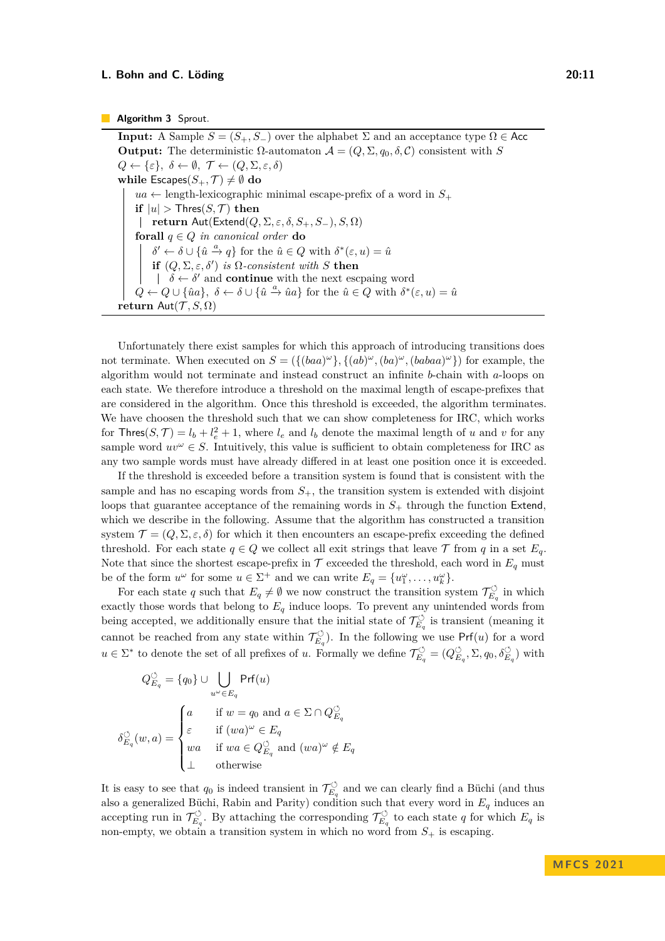#### **Algorithm 3** Sprout.

**Input:** A Sample  $S = (S_+, S_-)$  over the alphabet  $\Sigma$  and an acceptance type  $\Omega \in \mathsf{Acc}$ **Output:** The deterministic Ω-automaton  $A = (Q, \Sigma, q_0, \delta, C)$  consistent with *S*  $Q \leftarrow {\varepsilon}, \ \delta \leftarrow \emptyset, \ \mathcal{T} \leftarrow (Q, \Sigma, \varepsilon, \delta)$ **while** Escapes $(S_+, \mathcal{T}) \neq \emptyset$  do  $ua \leftarrow$  length-lexicographic minimal escape-prefix of a word in  $S_+$ **if**  $|u| >$  Thres $(S, \mathcal{T})$  **then return** Aut(Extend(*Q,* Σ*, ε, δ, S*+*, S*−)*, S,* Ω) **forall** *q* ∈ *Q in canonical order* **do**  $\delta' \leftarrow \delta \cup \{\hat{u} \stackrel{a}{\rightarrow} q\}$  for the  $\hat{u} \in Q$  with  $\delta^*(\varepsilon, u) = \hat{u}$ **if**  $(Q, \Sigma, \varepsilon, \delta')$  *is*  $\Omega$ *-consistent with S* **then**  $\delta \leftarrow \delta'$  and **continue** with the next escpaing word  $Q \leftarrow Q \cup \{\hat{u}a\}, \delta \leftarrow \delta \cup \{\hat{u} \stackrel{a}{\rightarrow} \hat{u}a\}$  for the  $\hat{u} \in Q$  with  $\delta^*(\varepsilon, u) = \hat{u}$ **return** Aut $(\mathcal{T}, S, \Omega)$ 

<span id="page-10-0"></span>Unfortunately there exist samples for which this approach of introducing transitions does not terminate. When executed on  $S = (\{(baa)^{\omega}\}, \{(ab)^{\omega}, (ba)^{\omega}, (babaa)^{\omega}\})$  for example, the algorithm would not terminate and instead construct an infinite *b*-chain with *a*-loops on each state. We therefore introduce a threshold on the maximal length of escape-prefixes that are considered in the algorithm. Once this threshold is exceeded, the algorithm terminates. We have choosen the threshold such that we can show completeness for IRC, which works for Thres $(S, \mathcal{T}) = l_b + l_e^2 + 1$ , where  $l_e$  and  $l_b$  denote the maximal length of *u* and *v* for any sample word  $uv^{\omega} \in S$ . Intuitively, this value is sufficient to obtain completeness for IRC as any two sample words must have already differed in at least one position once it is exceeded.

If the threshold is exceeded before a transition system is found that is consistent with the sample and has no escaping words from  $S_{+}$ , the transition system is extended with disjoint loops that guarantee acceptance of the remaining words in *S*<sup>+</sup> through the function Extend, which we describe in the following. Assume that the algorithm has constructed a transition system  $\mathcal{T} = (Q, \Sigma, \varepsilon, \delta)$  for which it then encounters an escape-prefix exceeding the defined threshold. For each state  $q \in Q$  we collect all exit strings that leave  $\mathcal T$  from  $q$  in a set  $E_q$ . Note that since the shortest escape-prefix in  $\mathcal T$  exceeded the threshold, each word in  $E_q$  must be of the form  $u^{\omega}$  for some  $u \in \Sigma^{+}$  and we can write  $E_q = \{u_1^{\omega}, \ldots, u_k^{\omega}\}.$ 

For each state q such that  $E_q \neq \emptyset$  we now construct the transition system  $\mathcal{T}_{E_c}^{\circlearrowleft}$  $\tilde{E}_q$ <sup>O</sup> in which exactly those words that belong to *E<sup>q</sup>* induce loops. To prevent any unintended words from being accepted, we additionally ensure that the initial state of  $\mathcal{T}_{E}^{\circlearrowleft}$  $\widetilde{E}_q$  is transient (meaning it cannot be reached from any state within  $\mathcal{T}_{E}^{\circlearrowleft}$  $\widetilde{E}_q$ ). In the following we use Prf $(u)$  for a word  $u \in \Sigma^*$  to denote the set of all prefixes of *u*. Formally we define  $\mathcal{T}_{E}^{\circlearrowleft}$  $\tilde{E}_q^{\circlearrowleft} = (Q_E^{\circlearrowleft})$  $(E_q, \Sigma, q_0, \delta_{E_q}^{\circlearrowleft})$  with

$$
Q_{E_q}^{\circlearrowleft} = \{q_0\} \cup \bigcup_{u^{\omega} \in E_q} \mathsf{Prf}(u)
$$
\n
$$
\delta_{E_q}^{\circlearrowleft}(w, a) = \begin{cases} a & \text{if } w = q_0 \text{ and } a \in \Sigma \cap Q_{E_q}^{\circlearrowleft} \\ \varepsilon & \text{if } (wa)^{\omega} \in E_q \\ wa & \text{if } wa \in Q_{E_q}^{\circlearrowleft} \text{ and } (wa)^{\omega} \notin E_q \\ \bot & \text{otherwise} \end{cases}
$$

It is easy to see that  $q_0$  is indeed transient in  $\mathcal{T}_{E_c}^{\circlearrowleft}$  $\widetilde{E}_q$  and we can clearly find a Büchi (and thus also a generalized Büchi, Rabin and Parity) condition such that every word in *E<sup>q</sup>* induces an accepting run in  $\mathcal{T}^{\circlearrowleft}_{E}$  $\widetilde{\tau}_{E_q}^{\circlearrowleft}$ . By attaching the corresponding  $\mathcal{T}_{E_q}^{\circlearrowleft}$  $E_q^{\circ}$  to each state *q* for which  $E_q$  is non-empty, we obtain a transition system in which no word from  $S_+$  is escaping.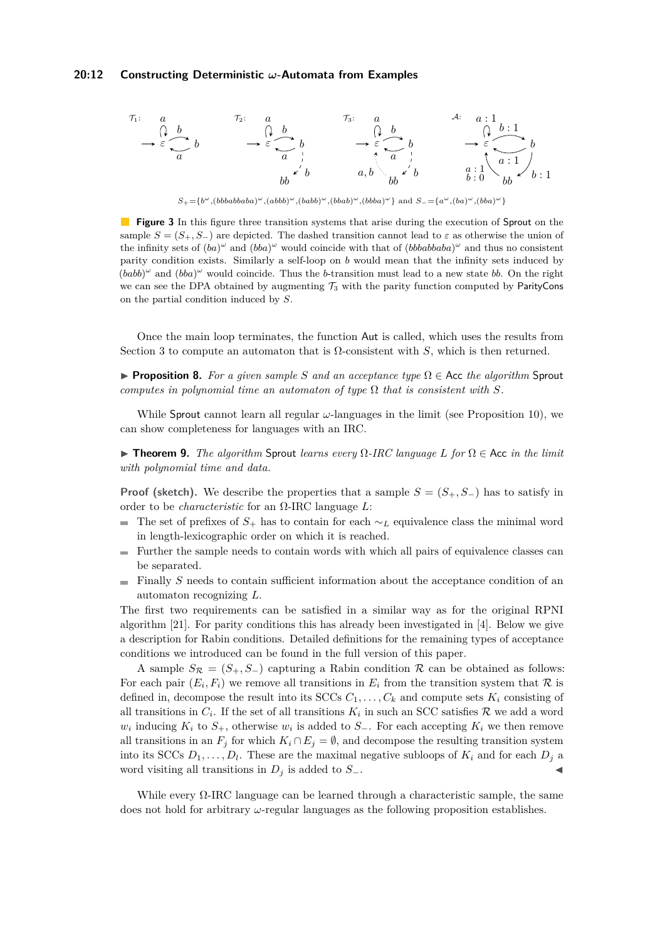#### **20:12 Constructing Deterministic** *ω***-Automata from Examples**

<span id="page-11-0"></span>

**Figure 3** In this figure three transition systems that arise during the execution of Sprout on the sample  $S = (S_+, S_-)$  are depicted. The dashed transition cannot lead to  $\varepsilon$  as otherwise the union of the infinity sets of  $(ba)^\omega$  and  $(bba)^\omega$  would coincide with that of  $(bbbabbaba)^\omega$  and thus no consistent parity condition exists. Similarly a self-loop on *b* would mean that the infinity sets induced by  $(babb)^\omega$  and  $(bba)^\omega$  would coincide. Thus the *b*-transition must lead to a new state *bb*. On the right we can see the DPA obtained by augmenting  $\mathcal{T}_3$  with the parity function computed by ParityCons on the partial condition induced by *S*.

Once the main loop terminates, the function Aut is called, which uses the results from [Section 3](#page-4-0) to compute an automaton that is  $Ω$ -consistent with *S*, which is then returned.

**• Proposition 8.** For a given sample S and an acceptance type  $\Omega \in$  Acc the algorithm Sprout *computes in polynomial time an automaton of type*  $\Omega$  *that is consistent with*  $S$ *.* 

While Sprout cannot learn all regular *ω*-languages in the limit (see [Proposition 10\)](#page-11-1), we can show completeness for languages with an IRC.

▶ **Theorem 9.** *The algorithm* Sprout *learns every* Ω*-IRC language L for* Ω ∈ Acc *in the limit with polynomial time and data.*

**Proof (sketch).** We describe the properties that a sample  $S = (S_+, S_-)$  has to satisfy in order to be *characteristic* for an Ω-IRC language *L*:

- The set of prefixes of  $S_+$  has to contain for each  $\sim$ *L* equivalence class the minimal word in length-lexicographic order on which it is reached.
- Further the sample needs to contain words with which all pairs of equivalence classes can  $\sim$ be separated.
- Finally *S* needs to contain sufficient information about the acceptance condition of an  $\mathbf{r}$ automaton recognizing *L*.

The first two requirements can be satisfied in a similar way as for the original RPNI algorithm [\[21\]](#page-16-6). For parity conditions this has already been investigated in [\[4\]](#page-15-1). Below we give a description for Rabin conditions. Detailed definitions for the remaining types of acceptance conditions we introduced can be found in the full version of this paper.

A sample  $S_{\mathcal{R}} = (S_+, S_-)$  capturing a Rabin condition  $\mathcal{R}$  can be obtained as follows: For each pair  $(E_i, F_i)$  we remove all transitions in  $E_i$  from the transition system that  $\mathcal R$  is defined in, decompose the result into its SCCs  $C_1, \ldots, C_k$  and compute sets  $K_i$  consisting of all transitions in  $C_i$ . If the set of all transitions  $K_i$  in such an SCC satisfies  $\mathcal R$  we add a word  $w_i$  inducing  $K_i$  to  $S_+$ , otherwise  $w_i$  is added to  $S_-$ . For each accepting  $K_i$  we then remove all transitions in an  $F_j$  for which  $K_i \cap E_j = \emptyset$ , and decompose the resulting transition system into its SCCs  $D_1, \ldots, D_l$ . These are the maximal negative subloops of  $K_i$  and for each  $D_j$  a word visiting all transitions in  $D_j$  is added to  $S_-.$ 

<span id="page-11-1"></span>While every  $\Omega$ -IRC language can be learned through a characteristic sample, the same does not hold for arbitrary *ω*-regular languages as the following proposition establishes.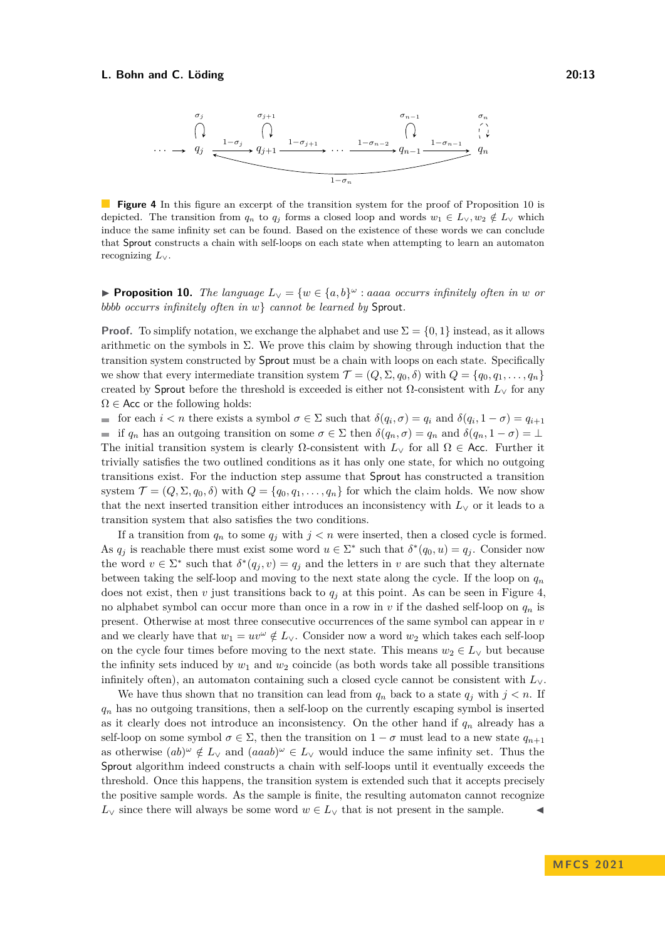<span id="page-12-0"></span>

**Figure 4** In this figure an excerpt of the transition system for the proof of [Proposition 10](#page-11-1) is depicted. The transition from  $q_n$  to  $q_j$  forms a closed loop and words  $w_1 \in L_v, w_2 \notin L_v$  which induce the same infinity set can be found. Based on the existence of these words we can conclude that Sprout constructs a chain with self-loops on each state when attempting to learn an automaton recognizing *L*∨.

▶ **Proposition 10.** *The language*  $L_V = \{w \in \{a, b\}^\omega : aaaa$  *occurrs infinitely often in w or bbbb occurrs infinitely often in w*} *cannot be learned by* Sprout*.*

**Proof.** To simplify notation, we exchange the alphabet and use  $\Sigma = \{0, 1\}$  instead, as it allows arithmetic on the symbols in  $\Sigma$ . We prove this claim by showing through induction that the transition system constructed by Sprout must be a chain with loops on each state. Specifically we show that every intermediate transition system  $\mathcal{T} = (Q, \Sigma, q_0, \delta)$  with  $Q = \{q_0, q_1, \ldots, q_n\}$ created by Sprout before the threshold is exceeded is either not Ω-consistent with *L*<sup>∨</sup> for any  $\Omega \in \mathsf{Acc}$  or the following holds:

for each  $i < n$  there exists a symbol  $\sigma \in \Sigma$  such that  $\delta(q_i, \sigma) = q_i$  and  $\delta(q_i, 1 - \sigma) = q_{i+1}$ if  $q_n$  has an outgoing transition on some  $\sigma \in \Sigma$  then  $\delta(q_n, \sigma) = q_n$  and  $\delta(q_n, 1 - \sigma) = \bot$ The initial transition system is clearly  $\Omega$ -consistent with  $L_{\vee}$  for all  $\Omega \in$  Acc. Further it trivially satisfies the two outlined conditions as it has only one state, for which no outgoing transitions exist. For the induction step assume that Sprout has constructed a transition system  $\mathcal{T} = (Q, \Sigma, q_0, \delta)$  with  $Q = \{q_0, q_1, \ldots, q_n\}$  for which the claim holds. We now show that the next inserted transition either introduces an inconsistency with  $L_V$  or it leads to a transition system that also satisfies the two conditions.

If a transition from  $q_n$  to some  $q_j$  with  $j < n$  were inserted, then a closed cycle is formed. As  $q_j$  is reachable there must exist some word  $u \in \Sigma^*$  such that  $\delta^*(q_0, u) = q_j$ . Consider now the word  $v \in \Sigma^*$  such that  $\delta^*(q_j, v) = q_j$  and the letters in *v* are such that they alternate between taking the self-loop and moving to the next state along the cycle. If the loop on *q<sup>n</sup>* does not exist, then *v* just transitions back to  $q_j$  at this point. As can be seen in [Figure 4,](#page-12-0) no alphabet symbol can occur more than once in a row in *v* if the dashed self-loop on *q<sup>n</sup>* is present. Otherwise at most three consecutive occurrences of the same symbol can appear in *v* and we clearly have that  $w_1 = uv^{\omega} \notin L_{\vee}$ . Consider now a word  $w_2$  which takes each self-loop on the cycle four times before moving to the next state. This means  $w_2 \in L_{\vee}$  but because the infinity sets induced by  $w_1$  and  $w_2$  coincide (as both words take all possible transitions infinitely often), an automaton containing such a closed cycle cannot be consistent with *L*∨.

We have thus shown that no transition can lead from  $q_n$  back to a state  $q_i$  with  $j < n$ . If *q<sup>n</sup>* has no outgoing transitions, then a self-loop on the currently escaping symbol is inserted as it clearly does not introduce an inconsistency. On the other hand if  $q_n$  already has a self-loop on some symbol  $\sigma \in \Sigma$ , then the transition on  $1 - \sigma$  must lead to a new state  $q_{n+1}$ as otherwise  $(ab)^{\omega} \notin L_{\vee}$  and  $(aaab)^{\omega} \in L_{\vee}$  would induce the same infinity set. Thus the Sprout algorithm indeed constructs a chain with self-loops until it eventually exceeds the threshold. Once this happens, the transition system is extended such that it accepts precisely the positive sample words. As the sample is finite, the resulting automaton cannot recognize  $L_{\vee}$  since there will always be some word  $w \in L_{\vee}$  that is not present in the sample.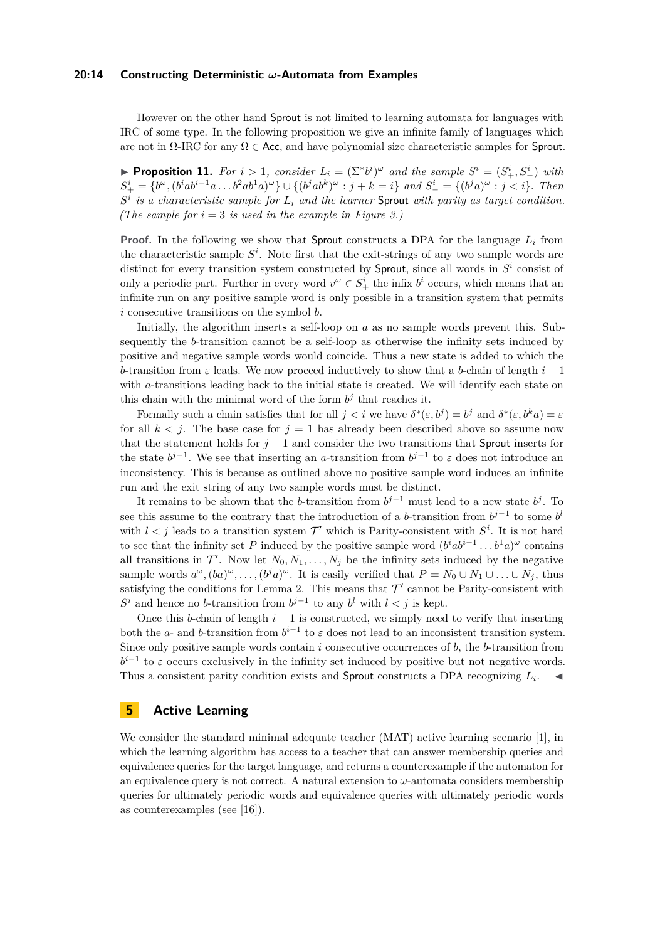#### **20:14 Constructing Deterministic** *ω***-Automata from Examples**

However on the other hand Sprout is not limited to learning automata for languages with IRC of some type. In the following proposition we give an infinite family of languages which are not in  $\Omega$ -IRC for any  $\Omega \in \mathsf{Acc}$ , and have polynomial size characteristic samples for Sprout.

▶ **Proposition 11.** For  $i > 1$ , consider  $L_i = (\Sigma^* b^i)^\omega$  and the sample  $S^i = (S^i_+, S^i_-)$  with  $S^i_+ = \{b^{\omega}, (b^i a b^{i-1} a \dots b^2 a b^1 a)^{\omega}\} \cup \{(b^j a b^k)^{\omega} : j + k = i\} \text{ and } S^i_- = \{(b^j a)^{\omega} : j < i\}.$  Then *S i is a characteristic sample for L<sup>i</sup> and the learner* Sprout *with parity as target condition. (The sample for*  $i = 3$  *is used in the example in [Figure 3.](#page-11-0))* 

**Proof.** In the following we show that Sprout constructs a DPA for the language  $L_i$  from the characteristic sample  $S<sup>i</sup>$ . Note first that the exit-strings of any two sample words are distinct for every transition system constructed by Sprout, since all words in  $S<sup>i</sup>$  consist of only a periodic part. Further in every word  $v^{\omega} \in S^i_+$  the infix  $b^i$  occurs, which means that an infinite run on any positive sample word is only possible in a transition system that permits *i* consecutive transitions on the symbol *b*.

Initially, the algorithm inserts a self-loop on *a* as no sample words prevent this. Subsequently the *b*-transition cannot be a self-loop as otherwise the infinity sets induced by positive and negative sample words would coincide. Thus a new state is added to which the *b*-transition from *ε* leads. We now proceed inductively to show that a *b*-chain of length *i* − 1 with *a*-transitions leading back to the initial state is created. We will identify each state on this chain with the minimal word of the form  $b^j$  that reaches it.

Formally such a chain satisfies that for all  $j < i$  we have  $\delta^*(\varepsilon, b^j) = b^j$  and  $\delta^*(\varepsilon, b^k a) = \varepsilon$ for all  $k < j$ . The base case for  $j = 1$  has already been described above so assume now that the statement holds for  $j-1$  and consider the two transitions that Sprout inserts for the state  $b^{j-1}$ . We see that inserting an *a*-transition from  $b^{j-1}$  to  $\varepsilon$  does not introduce an inconsistency. This is because as outlined above no positive sample word induces an infinite run and the exit string of any two sample words must be distinct.

It remains to be shown that the *b*-transition from  $b^{j-1}$  must lead to a new state  $b^j$ . To see this assume to the contrary that the introduction of a *b*-transition from  $b^{j-1}$  to some *b*<sup>*l*</sup> with  $l < j$  leads to a transition system  $\mathcal{T}'$  which is Parity-consistent with  $S^i$ . It is not hard to see that the infinity set *P* induced by the positive sample word  $(b^iab^{i-1}\dots b^1a)^{\omega}$  contains all transitions in  $\mathcal{T}'$ . Now let  $N_0, N_1, \ldots, N_j$  be the infinity sets induced by the negative sample words  $a^{\omega}$ ,  $(ba)^{\omega}$ , ...,  $(b^ja)^{\omega}$ . It is easily verified that  $P = N_0 \cup N_1 \cup \ldots \cup N_j$ , thus satisfying the conditions for [Lemma 2.](#page-5-0) This means that  $\mathcal{T}'$  cannot be Parity-consistent with  $S^i$  and hence no *b*-transition from  $b^{j-1}$  to any  $b^l$  with  $l < j$  is kept.

Once this *b*-chain of length  $i - 1$  is constructed, we simply need to verify that inserting both the *a*- and *b*-transition from  $b^{i-1}$  to  $\varepsilon$  does not lead to an inconsistent transition system. Since only positive sample words contain *i* consecutive occurrences of *b*, the *b*-transition from  $b^{i-1}$  to  $\varepsilon$  occurs exclusively in the infinity set induced by positive but not negative words. Thus a consistent parity condition exists and Sprout constructs a DPA recognizing  $L_i$ .

# <span id="page-13-0"></span>**5 Active Learning**

We consider the standard minimal adequate teacher (MAT) active learning scenario [\[1\]](#page-15-2), in which the learning algorithm has access to a teacher that can answer membership queries and equivalence queries for the target language, and returns a counterexample if the automaton for an equivalence query is not correct. A natural extension to  $\omega$ -automata considers membership queries for ultimately periodic words and equivalence queries with ultimately periodic words as counterexamples (see [\[16\]](#page-16-11)).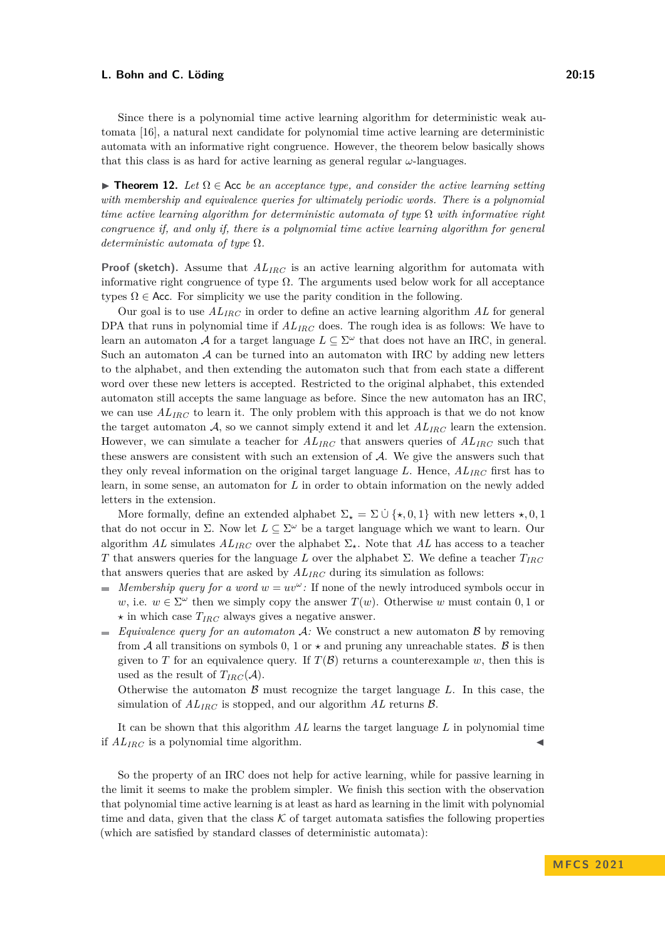Since there is a polynomial time active learning algorithm for deterministic weak automata [\[16\]](#page-16-11), a natural next candidate for polynomial time active learning are deterministic automata with an informative right congruence. However, the theorem below basically shows that this class is as hard for active learning as general regular  $\omega$ -languages.

**► Theorem 12.** Let  $\Omega$  ∈ Acc *be an acceptance type, and consider the active learning setting with membership and equivalence queries for ultimately periodic words. There is a polynomial time active learning algorithm for deterministic automata of type* Ω *with informative right congruence if, and only if, there is a polynomial time active learning algorithm for general deterministic automata of type* Ω*.*

**Proof (sketch).** Assume that *ALIRC* is an active learning algorithm for automata with informative right congruence of type  $\Omega$ . The arguments used below work for all acceptance types  $\Omega \in$  Acc. For simplicity we use the parity condition in the following.

Our goal is to use *ALIRC* in order to define an active learning algorithm *AL* for general DPA that runs in polynomial time if *ALIRC* does. The rough idea is as follows: We have to learn an automaton A for a target language  $L \subseteq \Sigma^\omega$  that does not have an IRC, in general. Such an automaton  $A$  can be turned into an automaton with IRC by adding new letters to the alphabet, and then extending the automaton such that from each state a different word over these new letters is accepted. Restricted to the original alphabet, this extended automaton still accepts the same language as before. Since the new automaton has an IRC, we can use  $AL_{IRC}$  to learn it. The only problem with this approach is that we do not know the target automaton  $A$ , so we cannot simply extend it and let  $AL_{IRC}$  learn the extension. However, we can simulate a teacher for *ALIRC* that answers queries of *ALIRC* such that these answers are consistent with such an extension of  $A$ . We give the answers such that they only reveal information on the original target language *L*. Hence, *ALIRC* first has to learn, in some sense, an automaton for *L* in order to obtain information on the newly added letters in the extension.

More formally, define an extended alphabet  $\Sigma_{\star} = \Sigma \cup {\star, 0, 1}$  with new letters  $\star, 0, 1$ that do not occur in  $\Sigma$ . Now let  $L \subseteq \Sigma^{\omega}$  be a target language which we want to learn. Our algorithm *AL* simulates  $AL_{IRC}$  over the alphabet  $\Sigma_{\star}$ . Note that *AL* has access to a teacher *T* that answers queries for the language *L* over the alphabet Σ. We define a teacher *TIRC* that answers queries that are asked by *ALIRC* during its simulation as follows:

- *Membership query for a word*  $w = uv^{\omega}$ . If none of the newly introduced symbols occur in *w*, i.e.  $w \in \Sigma^{\omega}$  then we simply copy the answer  $T(w)$ . Otherwise *w* must contain 0, 1 or  $\star$  in which case  $T_{IRC}$  always gives a negative answer.
- *Equivalence query for an automaton*  $\mathcal{A}$ : We construct a new automaton  $\mathcal{B}$  by removing from A all transitions on symbols 0, 1 or  $\star$  and pruning any unreachable states. B is then given to *T* for an equivalence query. If  $T(\mathcal{B})$  returns a counterexample *w*, then this is used as the result of  $T_{IRC}(A)$ .

Otherwise the automaton  $\beta$  must recognize the target language  $L$ . In this case, the simulation of *ALIRC* is stopped, and our algorithm *AL* returns B.

It can be shown that this algorithm *AL* learns the target language *L* in polynomial time if  $AL_{IRC}$  is a polynomial time algorithm.

So the property of an IRC does not help for active learning, while for passive learning in the limit it seems to make the problem simpler. We finish this section with the observation that polynomial time active learning is at least as hard as learning in the limit with polynomial time and data, given that the class  $K$  of target automata satisfies the following properties (which are satisfied by standard classes of deterministic automata):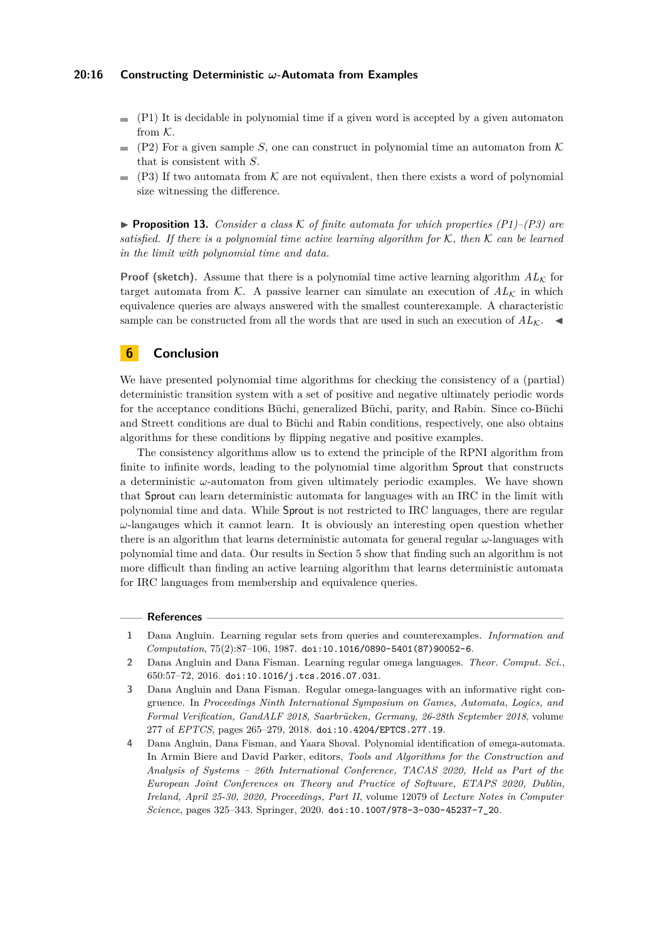#### **20:16 Constructing Deterministic** *ω***-Automata from Examples**

- $(P1)$  It is decidable in polynomial time if a given word is accepted by a given automaton from K.
- (P2) For a given sample *S*, one can construct in polynomial time an automaton from  $K$  $\sim$ that is consistent with *S*.
- $(P3)$  If two automata from K are not equivalent, then there exists a word of polynomial  $\blacksquare$ size witnessing the difference.

**• Proposition 13.** *Consider a class* K of finite automata for which properties  $(PI)$ – $(P3)$  are *satisfied. If there is a polynomial time active learning algorithm for* K*, then* K *can be learned in the limit with polynomial time and data.*

**Proof (sketch).** Assume that there is a polynomial time active learning algorithm  $AL_K$  for target automata from K. A passive learner can simulate an execution of  $AL_K$  in which equivalence queries are always answered with the smallest counterexample. A characteristic sample can be constructed from all the words that are used in such an execution of  $AL_K$ .

## <span id="page-15-4"></span>**6 Conclusion**

We have presented polynomial time algorithms for checking the consistency of a (partial) deterministic transition system with a set of positive and negative ultimately periodic words for the acceptance conditions Büchi, generalized Büchi, parity, and Rabin. Since co-Büchi and Streett conditions are dual to Büchi and Rabin conditions, respectively, one also obtains algorithms for these conditions by flipping negative and positive examples.

The consistency algorithms allow us to extend the principle of the RPNI algorithm from finite to infinite words, leading to the polynomial time algorithm Sprout that constructs a deterministic  $\omega$ -automaton from given ultimately periodic examples. We have shown that Sprout can learn deterministic automata for languages with an IRC in the limit with polynomial time and data. While Sprout is not restricted to IRC languages, there are regular  $\omega$ -langauges which it cannot learn. It is obviously an interesting open question whether there is an algorithm that learns deterministic automata for general regular *ω*-languages with polynomial time and data. Our results in Section [5](#page-13-0) show that finding such an algorithm is not more difficult than finding an active learning algorithm that learns deterministic automata for IRC languages from membership and equivalence queries.

#### **References**

- <span id="page-15-2"></span>**1** Dana Angluin. Learning regular sets from queries and counterexamples. *Information and Computation*, 75(2):87–106, 1987. [doi:10.1016/0890-5401\(87\)90052-6](https://doi.org/10.1016/0890-5401(87)90052-6).
- <span id="page-15-3"></span>**2** Dana Angluin and Dana Fisman. Learning regular omega languages. *Theor. Comput. Sci.*, 650:57–72, 2016. [doi:10.1016/j.tcs.2016.07.031](https://doi.org/10.1016/j.tcs.2016.07.031).
- <span id="page-15-0"></span>**3** Dana Angluin and Dana Fisman. Regular omega-languages with an informative right congruence. In *Proceedings Ninth International Symposium on Games, Automata, Logics, and Formal Verification, GandALF 2018, Saarbrücken, Germany, 26-28th September 2018*, volume 277 of *EPTCS*, pages 265–279, 2018. [doi:10.4204/EPTCS.277.19](https://doi.org/10.4204/EPTCS.277.19).
- <span id="page-15-1"></span>**4** Dana Angluin, Dana Fisman, and Yaara Shoval. Polynomial identification of ømega-automata. In Armin Biere and David Parker, editors, *Tools and Algorithms for the Construction and Analysis of Systems – 26th International Conference, TACAS 2020, Held as Part of the European Joint Conferences on Theory and Practice of Software, ETAPS 2020, Dublin, Ireland, April 25-30, 2020, Proceedings, Part II*, volume 12079 of *Lecture Notes in Computer Science*, pages 325–343. Springer, 2020. [doi:10.1007/978-3-030-45237-7\\_20](https://doi.org/10.1007/978-3-030-45237-7_20).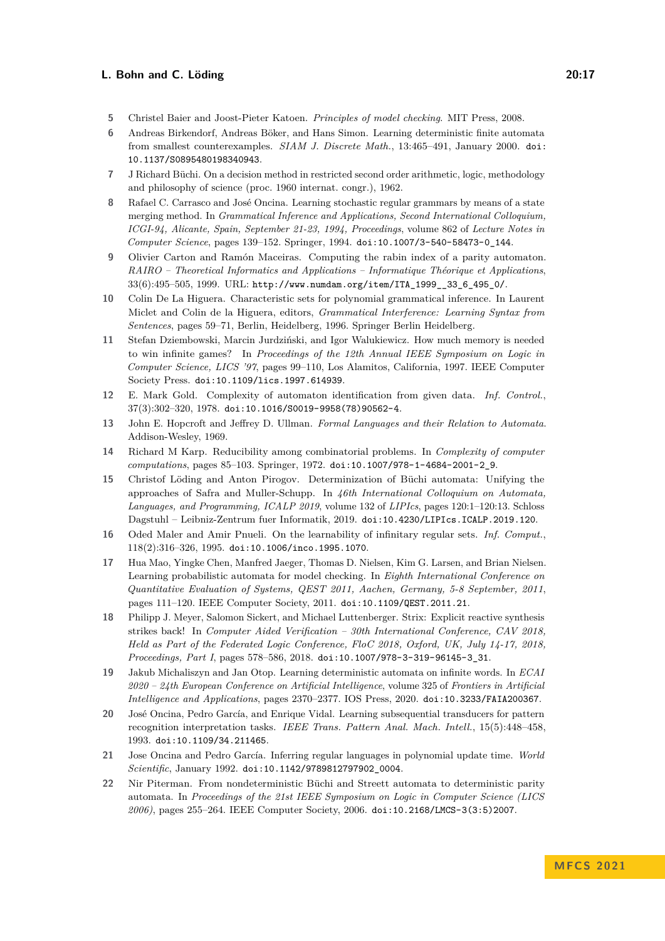- <span id="page-16-1"></span>**5** Christel Baier and Joost-Pieter Katoen. *Principles of model checking*. MIT Press, 2008.
- <span id="page-16-17"></span>**6** Andreas Birkendorf, Andreas Böker, and Hans Simon. Learning deterministic finite automata from smallest counterexamples. *SIAM J. Discrete Math.*, 13:465–491, January 2000. [doi:](https://doi.org/10.1137/S0895480198340943) [10.1137/S0895480198340943](https://doi.org/10.1137/S0895480198340943).
- <span id="page-16-0"></span>**7** J Richard Büchi. On a decision method in restricted second order arithmetic, logic, methodology and philosophy of science (proc. 1960 internat. congr.), 1962.
- <span id="page-16-7"></span>**8** Rafael C. Carrasco and José Oncina. Learning stochastic regular grammars by means of a state merging method. In *Grammatical Inference and Applications, Second International Colloquium, ICGI-94, Alicante, Spain, September 21-23, 1994, Proceedings*, volume 862 of *Lecture Notes in Computer Science*, pages 139–152. Springer, 1994. [doi:10.1007/3-540-58473-0\\_144](https://doi.org/10.1007/3-540-58473-0_144).
- <span id="page-16-15"></span>**9** Olivier Carton and Ramón Maceiras. Computing the rabin index of a parity automaton. *RAIRO – Theoretical Informatics and Applications – Informatique Théorique et Applications*, 33(6):495–505, 1999. URL: [http://www.numdam.org/item/ITA\\_1999\\_\\_33\\_6\\_495\\_0/](http://www.numdam.org/item/ITA_1999__33_6_495_0/).
- <span id="page-16-13"></span>**10** Colin De La Higuera. Characteristic sets for polynomial grammatical inference. In Laurent Miclet and Colin de la Higuera, editors, *Grammatical Interference: Learning Syntax from Sentences*, pages 59–71, Berlin, Heidelberg, 1996. Springer Berlin Heidelberg.
- <span id="page-16-14"></span>**11** Stefan Dziembowski, Marcin Jurdziński, and Igor Walukiewicz. How much memory is needed to win infinite games? In *Proceedings of the 12th Annual IEEE Symposium on Logic in Computer Science, LICS '97*, pages 99–110, Los Alamitos, California, 1997. IEEE Computer Society Press. [doi:10.1109/lics.1997.614939](https://doi.org/10.1109/lics.1997.614939).
- <span id="page-16-10"></span>**12** E. Mark Gold. Complexity of automaton identification from given data. *Inf. Control.*,  $37(3):302-320, 1978.$ [doi:10.1016/S0019-9958\(78\)90562-4](https://doi.org/10.1016/S0019-9958(78)90562-4).
- <span id="page-16-5"></span>**13** John E. Hopcroft and Jeffrey D. Ullman. *Formal Languages and their Relation to Automata*. Addison-Wesley, 1969.
- <span id="page-16-16"></span>**14** Richard M Karp. Reducibility among combinatorial problems. In *Complexity of computer computations*, pages 85–103. Springer, 1972. [doi:10.1007/978-1-4684-2001-2\\_9](https://doi.org/10.1007/978-1-4684-2001-2_9).
- <span id="page-16-4"></span>**15** Christof Löding and Anton Pirogov. Determinization of Büchi automata: Unifying the approaches of Safra and Muller-Schupp. In *46th International Colloquium on Automata, Languages, and Programming, ICALP 2019*, volume 132 of *LIPIcs*, pages 120:1–120:13. Schloss Dagstuhl – Leibniz-Zentrum fuer Informatik, 2019. [doi:10.4230/LIPIcs.ICALP.2019.120](https://doi.org/10.4230/LIPIcs.ICALP.2019.120).
- <span id="page-16-11"></span>**16** Oded Maler and Amir Pnueli. On the learnability of infinitary regular sets. *Inf. Comput.*, 118(2):316–326, 1995. [doi:10.1006/inco.1995.1070](https://doi.org/10.1006/inco.1995.1070).
- <span id="page-16-8"></span>**17** Hua Mao, Yingke Chen, Manfred Jaeger, Thomas D. Nielsen, Kim G. Larsen, and Brian Nielsen. Learning probabilistic automata for model checking. In *Eighth International Conference on Quantitative Evaluation of Systems, QEST 2011, Aachen, Germany, 5-8 September, 2011*, pages 111–120. IEEE Computer Society, 2011. [doi:10.1109/QEST.2011.21](https://doi.org/10.1109/QEST.2011.21).
- <span id="page-16-2"></span>**18** Philipp J. Meyer, Salomon Sickert, and Michael Luttenberger. Strix: Explicit reactive synthesis strikes back! In *Computer Aided Verification – 30th International Conference, CAV 2018, Held as Part of the Federated Logic Conference, FloC 2018, Oxford, UK, July 14-17, 2018, Proceedings, Part I*, pages 578–586, 2018. [doi:10.1007/978-3-319-96145-3\\_31](https://doi.org/10.1007/978-3-319-96145-3_31).
- <span id="page-16-12"></span>**19** Jakub Michaliszyn and Jan Otop. Learning deterministic automata on infinite words. In *ECAI 2020 – 24th European Conference on Artificial Intelligence*, volume 325 of *Frontiers in Artificial Intelligence and Applications*, pages 2370–2377. IOS Press, 2020. [doi:10.3233/FAIA200367](https://doi.org/10.3233/FAIA200367).
- <span id="page-16-9"></span>**20** José Oncina, Pedro García, and Enrique Vidal. Learning subsequential transducers for pattern recognition interpretation tasks. *IEEE Trans. Pattern Anal. Mach. Intell.*, 15(5):448–458, 1993. [doi:10.1109/34.211465](https://doi.org/10.1109/34.211465).
- <span id="page-16-6"></span>**21** Jose Oncina and Pedro García. Inferring regular languages in polynomial update time. *World Scientific*, January 1992. [doi:10.1142/9789812797902\\_0004](https://doi.org/10.1142/9789812797902_0004).
- <span id="page-16-3"></span>**22** Nir Piterman. From nondeterministic Büchi and Streett automata to deterministic parity automata. In *Proceedings of the 21st IEEE Symposium on Logic in Computer Science (LICS 2006)*, pages 255–264. IEEE Computer Society, 2006. [doi:10.2168/LMCS-3\(3:5\)2007](https://doi.org/10.2168/LMCS-3(3:5)2007).